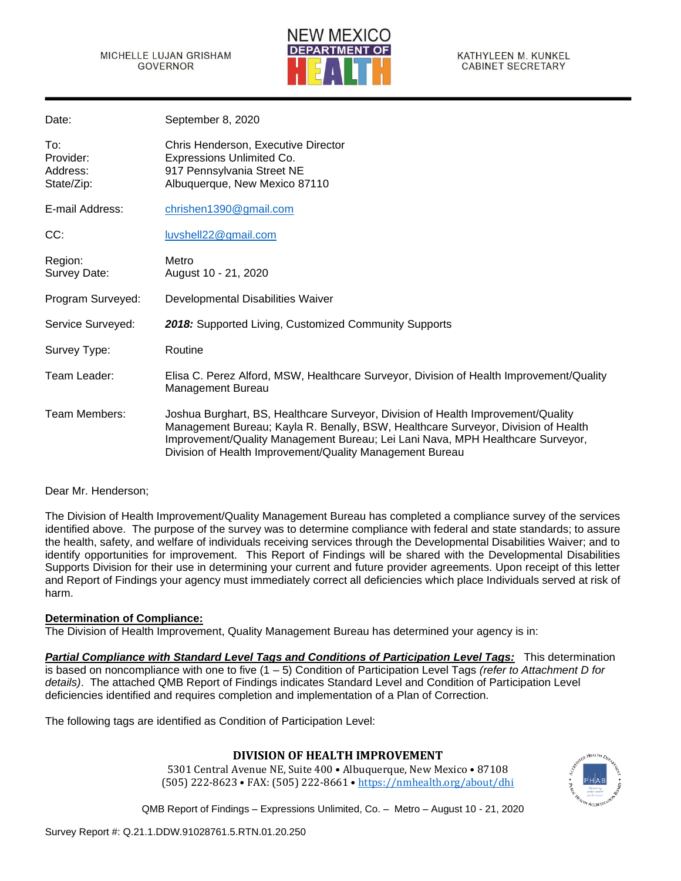

KATHYLEEN M. KUNKEL **CABINET SECRETARY** 

| Date:                                      | September 8, 2020                                                                                                                                                                                                                                                                                                   |
|--------------------------------------------|---------------------------------------------------------------------------------------------------------------------------------------------------------------------------------------------------------------------------------------------------------------------------------------------------------------------|
| To:<br>Provider:<br>Address:<br>State/Zip: | Chris Henderson, Executive Director<br>Expressions Unlimited Co.<br>917 Pennsylvania Street NE<br>Albuquerque, New Mexico 87110                                                                                                                                                                                     |
| E-mail Address:                            | chrishen1390@gmail.com                                                                                                                                                                                                                                                                                              |
| CC:                                        | luvshell22@gmail.com                                                                                                                                                                                                                                                                                                |
| Region:<br>Survey Date:                    | Metro<br>August 10 - 21, 2020                                                                                                                                                                                                                                                                                       |
| Program Surveyed:                          | Developmental Disabilities Waiver                                                                                                                                                                                                                                                                                   |
| Service Surveyed:                          | 2018: Supported Living, Customized Community Supports                                                                                                                                                                                                                                                               |
| Survey Type:                               | Routine                                                                                                                                                                                                                                                                                                             |
| Team Leader:                               | Elisa C. Perez Alford, MSW, Healthcare Surveyor, Division of Health Improvement/Quality<br>Management Bureau                                                                                                                                                                                                        |
| Team Members:                              | Joshua Burghart, BS, Healthcare Surveyor, Division of Health Improvement/Quality<br>Management Bureau; Kayla R. Benally, BSW, Healthcare Surveyor, Division of Health<br>Improvement/Quality Management Bureau; Lei Lani Nava, MPH Healthcare Surveyor,<br>Division of Health Improvement/Quality Management Bureau |

### Dear Mr. Henderson;

The Division of Health Improvement/Quality Management Bureau has completed a compliance survey of the services identified above. The purpose of the survey was to determine compliance with federal and state standards; to assure the health, safety, and welfare of individuals receiving services through the Developmental Disabilities Waiver; and to identify opportunities for improvement. This Report of Findings will be shared with the Developmental Disabilities Supports Division for their use in determining your current and future provider agreements. Upon receipt of this letter and Report of Findings your agency must immediately correct all deficiencies which place Individuals served at risk of harm.

### **Determination of Compliance:**

The Division of Health Improvement, Quality Management Bureau has determined your agency is in:

*Partial Compliance with Standard Level Tags and Conditions of Participation Level Tags:* This determination is based on noncompliance with one to five (1 – 5) Condition of Participation Level Tags *(refer to Attachment D for details)*. The attached QMB Report of Findings indicates Standard Level and Condition of Participation Level deficiencies identified and requires completion and implementation of a Plan of Correction.

The following tags are identified as Condition of Participation Level:

## **DIVISION OF HEALTH IMPROVEMENT**

5301 Central Avenue NE, Suite 400 • Albuquerque, New Mexico • 87108 (505) 222-8623 • FAX: (505) 222-8661 • <https://nmhealth.org/about/dhi>

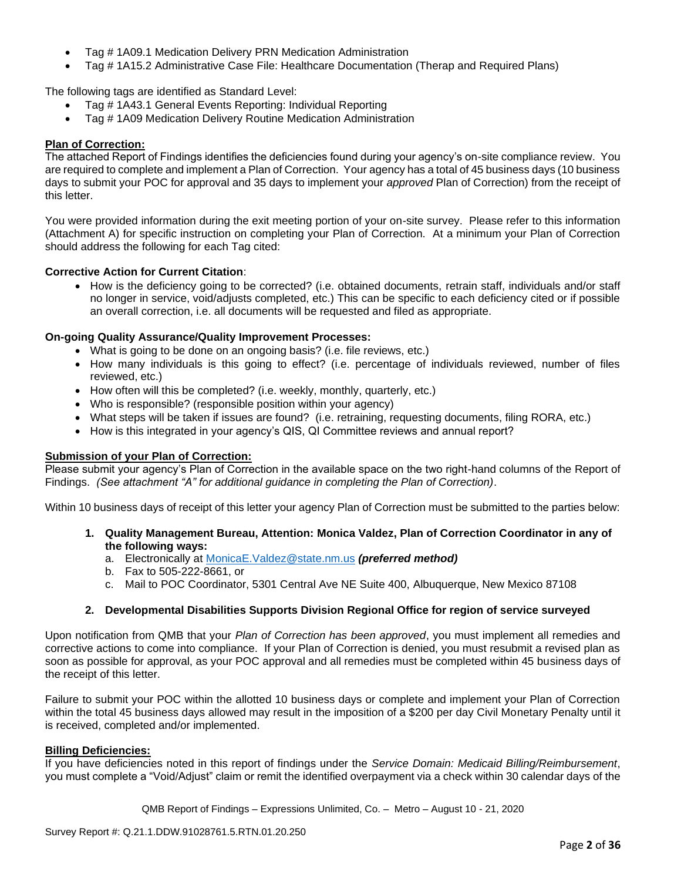- Tag # 1A09.1 Medication Delivery PRN Medication Administration
- Tag # 1A15.2 Administrative Case File: Healthcare Documentation (Therap and Required Plans)

The following tags are identified as Standard Level:

- Tag # 1A43.1 General Events Reporting: Individual Reporting
- Tag # 1A09 Medication Delivery Routine Medication Administration

## **Plan of Correction:**

The attached Report of Findings identifies the deficiencies found during your agency's on-site compliance review. You are required to complete and implement a Plan of Correction. Your agency has a total of 45 business days (10 business days to submit your POC for approval and 35 days to implement your *approved* Plan of Correction) from the receipt of this letter.

You were provided information during the exit meeting portion of your on-site survey. Please refer to this information (Attachment A) for specific instruction on completing your Plan of Correction. At a minimum your Plan of Correction should address the following for each Tag cited:

## **Corrective Action for Current Citation**:

• How is the deficiency going to be corrected? (i.e. obtained documents, retrain staff, individuals and/or staff no longer in service, void/adjusts completed, etc.) This can be specific to each deficiency cited or if possible an overall correction, i.e. all documents will be requested and filed as appropriate.

## **On-going Quality Assurance/Quality Improvement Processes:**

- What is going to be done on an ongoing basis? (i.e. file reviews, etc.)
- How many individuals is this going to effect? (i.e. percentage of individuals reviewed, number of files reviewed, etc.)
- How often will this be completed? (i.e. weekly, monthly, quarterly, etc.)
- Who is responsible? (responsible position within your agency)
- What steps will be taken if issues are found? (i.e. retraining, requesting documents, filing RORA, etc.)
- How is this integrated in your agency's QIS, QI Committee reviews and annual report?

## **Submission of your Plan of Correction:**

Please submit your agency's Plan of Correction in the available space on the two right-hand columns of the Report of Findings. *(See attachment "A" for additional guidance in completing the Plan of Correction)*.

Within 10 business days of receipt of this letter your agency Plan of Correction must be submitted to the parties below:

- **1. Quality Management Bureau, Attention: Monica Valdez, Plan of Correction Coordinator in any of the following ways:**
	- a. Electronically at [MonicaE.Valdez@state.nm.us](mailto:MonicaE.Valdez@state.nm.us) *(preferred method)*
	- b. Fax to 505-222-8661, or
	- c. Mail to POC Coordinator, 5301 Central Ave NE Suite 400, Albuquerque, New Mexico 87108

## **2. Developmental Disabilities Supports Division Regional Office for region of service surveyed**

Upon notification from QMB that your *Plan of Correction has been approved*, you must implement all remedies and corrective actions to come into compliance. If your Plan of Correction is denied, you must resubmit a revised plan as soon as possible for approval, as your POC approval and all remedies must be completed within 45 business days of the receipt of this letter.

Failure to submit your POC within the allotted 10 business days or complete and implement your Plan of Correction within the total 45 business days allowed may result in the imposition of a \$200 per day Civil Monetary Penalty until it is received, completed and/or implemented.

### **Billing Deficiencies:**

If you have deficiencies noted in this report of findings under the *Service Domain: Medicaid Billing/Reimbursement*, you must complete a "Void/Adjust" claim or remit the identified overpayment via a check within 30 calendar days of the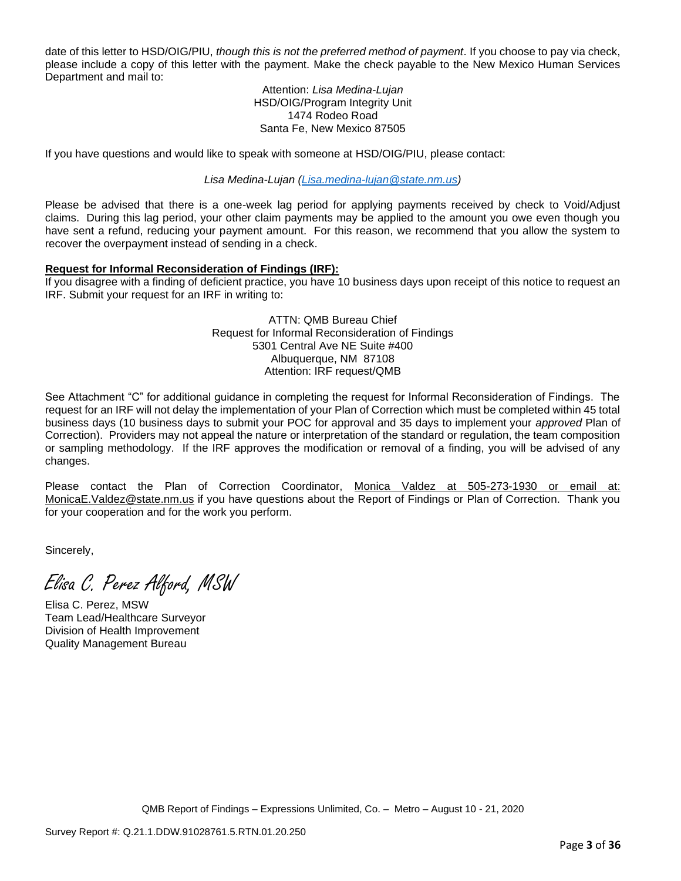date of this letter to HSD/OIG/PIU, *though this is not the preferred method of payment*. If you choose to pay via check, please include a copy of this letter with the payment. Make the check payable to the New Mexico Human Services Department and mail to:

#### Attention: *Lisa Medina-Lujan* HSD/OIG/Program Integrity Unit 1474 Rodeo Road Santa Fe, New Mexico 87505

If you have questions and would like to speak with someone at HSD/OIG/PIU, please contact:

*Lisa Medina-Lujan [\(Lisa.medina-lujan@state.nm.us\)](mailto:Lisa.medina-lujan@state.nm.us)*

Please be advised that there is a one-week lag period for applying payments received by check to Void/Adjust claims. During this lag period, your other claim payments may be applied to the amount you owe even though you have sent a refund, reducing your payment amount. For this reason, we recommend that you allow the system to recover the overpayment instead of sending in a check.

## **Request for Informal Reconsideration of Findings (IRF):**

If you disagree with a finding of deficient practice, you have 10 business days upon receipt of this notice to request an IRF. Submit your request for an IRF in writing to:

> ATTN: QMB Bureau Chief Request for Informal Reconsideration of Findings 5301 Central Ave NE Suite #400 Albuquerque, NM 87108 Attention: IRF request/QMB

See Attachment "C" for additional guidance in completing the request for Informal Reconsideration of Findings. The request for an IRF will not delay the implementation of your Plan of Correction which must be completed within 45 total business days (10 business days to submit your POC for approval and 35 days to implement your *approved* Plan of Correction). Providers may not appeal the nature or interpretation of the standard or regulation, the team composition or sampling methodology. If the IRF approves the modification or removal of a finding, you will be advised of any changes.

Please contact the Plan of Correction Coordinator, Monica Valdez at 505-273-1930 or email at: [MonicaE.Valdez@state.nm.us](mailto:MonicaE.Valdez@state.nm.us) if you have questions about the Report of Findings or Plan of Correction. Thank you for your cooperation and for the work you perform.

Sincerely,

Elisa C. Perez Alford, MSW

Elisa C. Perez, MSW Team Lead/Healthcare Surveyor Division of Health Improvement Quality Management Bureau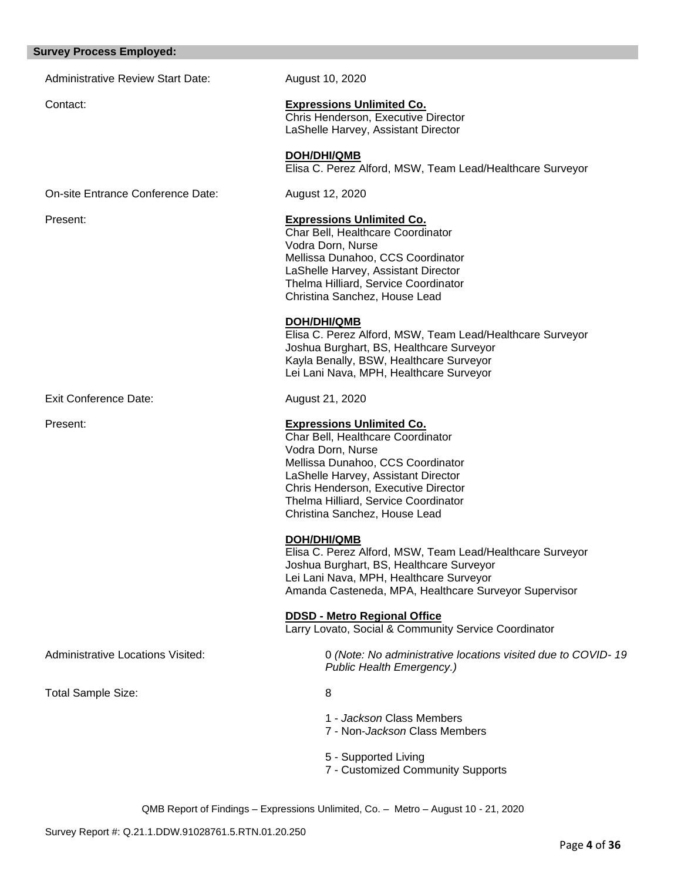#### **Survey Process Employed:**

Administrative Review Start Date: August 10, 2020

# Contact: **Expressions Unlimited Co.**

Chris Henderson, Executive Director LaShelle Harvey, Assistant Director

**DOH/DHI/QMB** Elisa C. Perez Alford, MSW, Team Lead/Healthcare Surveyor

On-site Entrance Conference Date: August 12, 2020

#### Present: **Expressions Unlimited Co.**

Char Bell, Healthcare Coordinator Vodra Dorn, Nurse Mellissa Dunahoo, CCS Coordinator LaShelle Harvey, Assistant Director Thelma Hilliard, Service Coordinator Christina Sanchez, House Lead

#### **DOH/DHI/QMB**

Elisa C. Perez Alford, MSW, Team Lead/Healthcare Surveyor Joshua Burghart, BS, Healthcare Surveyor Kayla Benally, BSW, Healthcare Surveyor Lei Lani Nava, MPH, Healthcare Surveyor

Exit Conference Date: August 21, 2020

#### Present: **Expressions Unlimited Co.**

Char Bell, Healthcare Coordinator Vodra Dorn, Nurse Mellissa Dunahoo, CCS Coordinator LaShelle Harvey, Assistant Director Chris Henderson, Executive Director Thelma Hilliard, Service Coordinator Christina Sanchez, House Lead

### **DOH/DHI/QMB**

Elisa C. Perez Alford, MSW, Team Lead/Healthcare Surveyor Joshua Burghart, BS, Healthcare Surveyor Lei Lani Nava, MPH, Healthcare Surveyor Amanda Casteneda, MPA, Healthcare Surveyor Supervisor

**DDSD - Metro Regional Office** 

Larry Lovato, Social & Community Service Coordinator

Administrative Locations Visited: 0 *(Note: No administrative locations visited due to COVID- 19 Public Health Emergency.)*

Total Sample Size: 8

- 1 *Jackson* Class Members
- 7 Non-*Jackson* Class Members
- 5 Supported Living
- 7 Customized Community Supports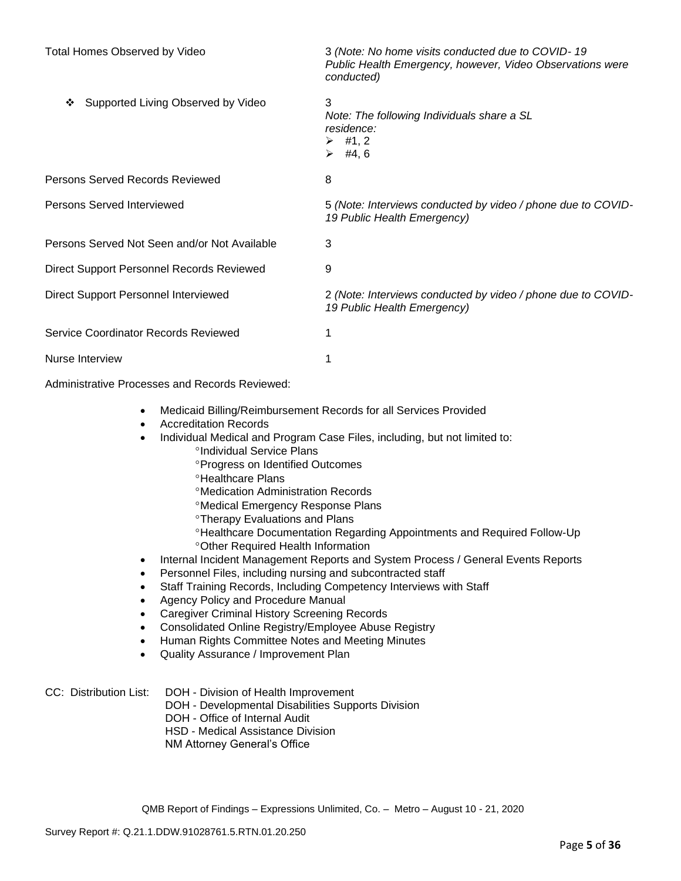| <b>Total Homes Observed by Video</b>         | 3 (Note: No home visits conducted due to COVID-19<br>Public Health Emergency, however, Video Observations were<br>conducted) |
|----------------------------------------------|------------------------------------------------------------------------------------------------------------------------------|
| Supported Living Observed by Video<br>❖      | 3<br>Note: The following Individuals share a SL<br>residence:<br>$\triangleright$ #1, 2<br>#4, 6<br>➤                        |
| Persons Served Records Reviewed              | 8                                                                                                                            |
| Persons Served Interviewed                   | 5 (Note: Interviews conducted by video / phone due to COVID-<br>19 Public Health Emergency)                                  |
| Persons Served Not Seen and/or Not Available | 3                                                                                                                            |
| Direct Support Personnel Records Reviewed    | 9                                                                                                                            |
| Direct Support Personnel Interviewed         | 2 (Note: Interviews conducted by video / phone due to COVID-<br>19 Public Health Emergency)                                  |
| Service Coordinator Records Reviewed         |                                                                                                                              |
| Nurse Interview                              |                                                                                                                              |

Administrative Processes and Records Reviewed:

- Medicaid Billing/Reimbursement Records for all Services Provided
- Accreditation Records
- Individual Medical and Program Case Files, including, but not limited to:
	- <sup>o</sup>Individual Service Plans
		- **Progress on Identified Outcomes**
	- **<sup>o</sup>Healthcare Plans**
	- Medication Administration Records
	- Medical Emergency Response Plans
	- **<sup>o</sup>Therapy Evaluations and Plans**
	- Healthcare Documentation Regarding Appointments and Required Follow-Up Other Required Health Information
- Internal Incident Management Reports and System Process / General Events Reports
- Personnel Files, including nursing and subcontracted staff
- Staff Training Records, Including Competency Interviews with Staff
- Agency Policy and Procedure Manual
- Caregiver Criminal History Screening Records
- Consolidated Online Registry/Employee Abuse Registry
- Human Rights Committee Notes and Meeting Minutes
- Quality Assurance / Improvement Plan

# CC: Distribution List: DOH - Division of Health Improvement

- DOH Developmental Disabilities Supports Division
- DOH Office of Internal Audit
- HSD Medical Assistance Division
- NM Attorney General's Office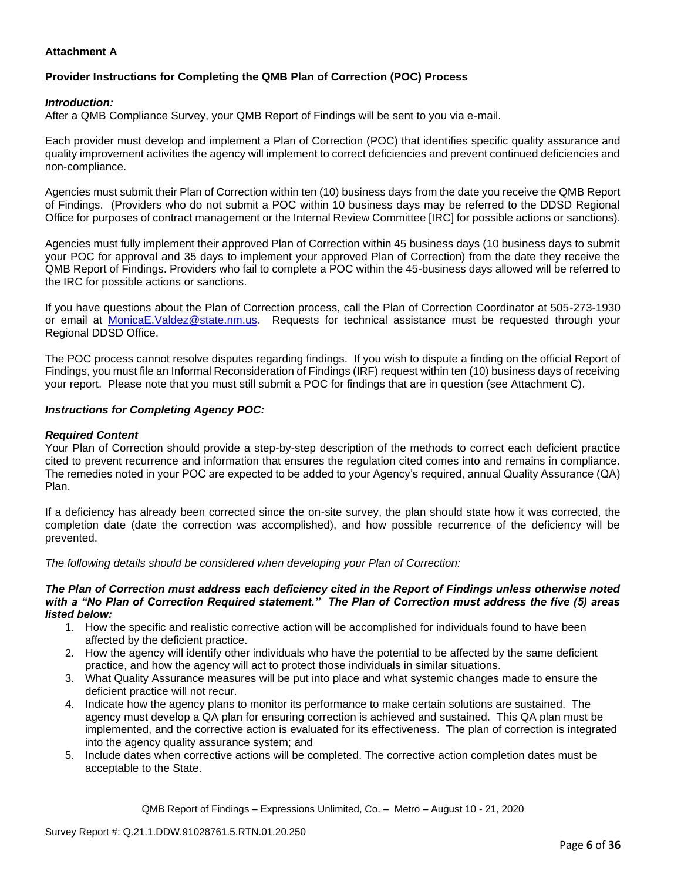## **Attachment A**

# **Provider Instructions for Completing the QMB Plan of Correction (POC) Process**

### *Introduction:*

After a QMB Compliance Survey, your QMB Report of Findings will be sent to you via e-mail.

Each provider must develop and implement a Plan of Correction (POC) that identifies specific quality assurance and quality improvement activities the agency will implement to correct deficiencies and prevent continued deficiencies and non-compliance.

Agencies must submit their Plan of Correction within ten (10) business days from the date you receive the QMB Report of Findings. (Providers who do not submit a POC within 10 business days may be referred to the DDSD Regional Office for purposes of contract management or the Internal Review Committee [IRC] for possible actions or sanctions).

Agencies must fully implement their approved Plan of Correction within 45 business days (10 business days to submit your POC for approval and 35 days to implement your approved Plan of Correction) from the date they receive the QMB Report of Findings. Providers who fail to complete a POC within the 45-business days allowed will be referred to the IRC for possible actions or sanctions.

If you have questions about the Plan of Correction process, call the Plan of Correction Coordinator at 505-273-1930 or email at [MonicaE.Valdez@state.nm.us.](mailto:MonicaE.Valdez@state.nm.us) Requests for technical assistance must be requested through your Regional DDSD Office.

The POC process cannot resolve disputes regarding findings. If you wish to dispute a finding on the official Report of Findings, you must file an Informal Reconsideration of Findings (IRF) request within ten (10) business days of receiving your report. Please note that you must still submit a POC for findings that are in question (see Attachment C).

### *Instructions for Completing Agency POC:*

### *Required Content*

Your Plan of Correction should provide a step-by-step description of the methods to correct each deficient practice cited to prevent recurrence and information that ensures the regulation cited comes into and remains in compliance. The remedies noted in your POC are expected to be added to your Agency's required, annual Quality Assurance (QA) Plan.

If a deficiency has already been corrected since the on-site survey, the plan should state how it was corrected, the completion date (date the correction was accomplished), and how possible recurrence of the deficiency will be prevented.

*The following details should be considered when developing your Plan of Correction:*

#### *The Plan of Correction must address each deficiency cited in the Report of Findings unless otherwise noted with a "No Plan of Correction Required statement." The Plan of Correction must address the five (5) areas listed below:*

- 1. How the specific and realistic corrective action will be accomplished for individuals found to have been affected by the deficient practice.
- 2. How the agency will identify other individuals who have the potential to be affected by the same deficient practice, and how the agency will act to protect those individuals in similar situations.
- 3. What Quality Assurance measures will be put into place and what systemic changes made to ensure the deficient practice will not recur.
- 4. Indicate how the agency plans to monitor its performance to make certain solutions are sustained. The agency must develop a QA plan for ensuring correction is achieved and sustained. This QA plan must be implemented, and the corrective action is evaluated for its effectiveness. The plan of correction is integrated into the agency quality assurance system; and
- 5. Include dates when corrective actions will be completed. The corrective action completion dates must be acceptable to the State.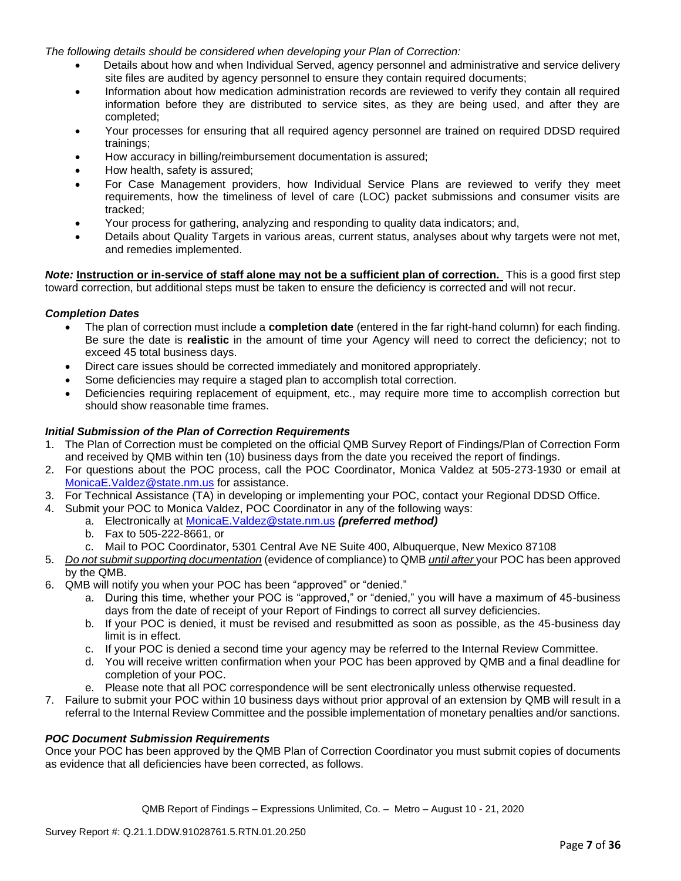*The following details should be considered when developing your Plan of Correction:*

- Details about how and when Individual Served, agency personnel and administrative and service delivery site files are audited by agency personnel to ensure they contain required documents;
- Information about how medication administration records are reviewed to verify they contain all required information before they are distributed to service sites, as they are being used, and after they are completed;
- Your processes for ensuring that all required agency personnel are trained on required DDSD required trainings;
- How accuracy in billing/reimbursement documentation is assured;
- How health, safety is assured;
- For Case Management providers, how Individual Service Plans are reviewed to verify they meet requirements, how the timeliness of level of care (LOC) packet submissions and consumer visits are tracked;
- Your process for gathering, analyzing and responding to quality data indicators; and,
- Details about Quality Targets in various areas, current status, analyses about why targets were not met, and remedies implemented.

*Note:* **Instruction or in-service of staff alone may not be a sufficient plan of correction.** This is a good first step toward correction, but additional steps must be taken to ensure the deficiency is corrected and will not recur.

## *Completion Dates*

- The plan of correction must include a **completion date** (entered in the far right-hand column) for each finding. Be sure the date is **realistic** in the amount of time your Agency will need to correct the deficiency; not to exceed 45 total business days.
- Direct care issues should be corrected immediately and monitored appropriately.
- Some deficiencies may require a staged plan to accomplish total correction.
- Deficiencies requiring replacement of equipment, etc., may require more time to accomplish correction but should show reasonable time frames.

### *Initial Submission of the Plan of Correction Requirements*

- 1. The Plan of Correction must be completed on the official QMB Survey Report of Findings/Plan of Correction Form and received by QMB within ten (10) business days from the date you received the report of findings.
- 2. For questions about the POC process, call the POC Coordinator, Monica Valdez at 505-273-1930 or email at [MonicaE.Valdez@state.nm.us](mailto:MonicaE.Valdez@state.nm.us) for assistance.
- 3. For Technical Assistance (TA) in developing or implementing your POC, contact your Regional DDSD Office.
- 4. Submit your POC to Monica Valdez, POC Coordinator in any of the following ways:
	- a. Electronically at [MonicaE.Valdez@state.nm.us](mailto:MonicaE.Valdez@state.nm.us) *(preferred method)*
	- b. Fax to 505-222-8661, or
	- c. Mail to POC Coordinator, 5301 Central Ave NE Suite 400, Albuquerque, New Mexico 87108
- 5. *Do not submit supporting documentation* (evidence of compliance) to QMB *until after* your POC has been approved by the QMB.
- 6. QMB will notify you when your POC has been "approved" or "denied."
	- a. During this time, whether your POC is "approved," or "denied," you will have a maximum of 45-business days from the date of receipt of your Report of Findings to correct all survey deficiencies.
	- b. If your POC is denied, it must be revised and resubmitted as soon as possible, as the 45-business day limit is in effect.
	- c. If your POC is denied a second time your agency may be referred to the Internal Review Committee.
	- d. You will receive written confirmation when your POC has been approved by QMB and a final deadline for completion of your POC.
	- e. Please note that all POC correspondence will be sent electronically unless otherwise requested.
- 7. Failure to submit your POC within 10 business days without prior approval of an extension by QMB will result in a referral to the Internal Review Committee and the possible implementation of monetary penalties and/or sanctions.

### *POC Document Submission Requirements*

Once your POC has been approved by the QMB Plan of Correction Coordinator you must submit copies of documents as evidence that all deficiencies have been corrected, as follows.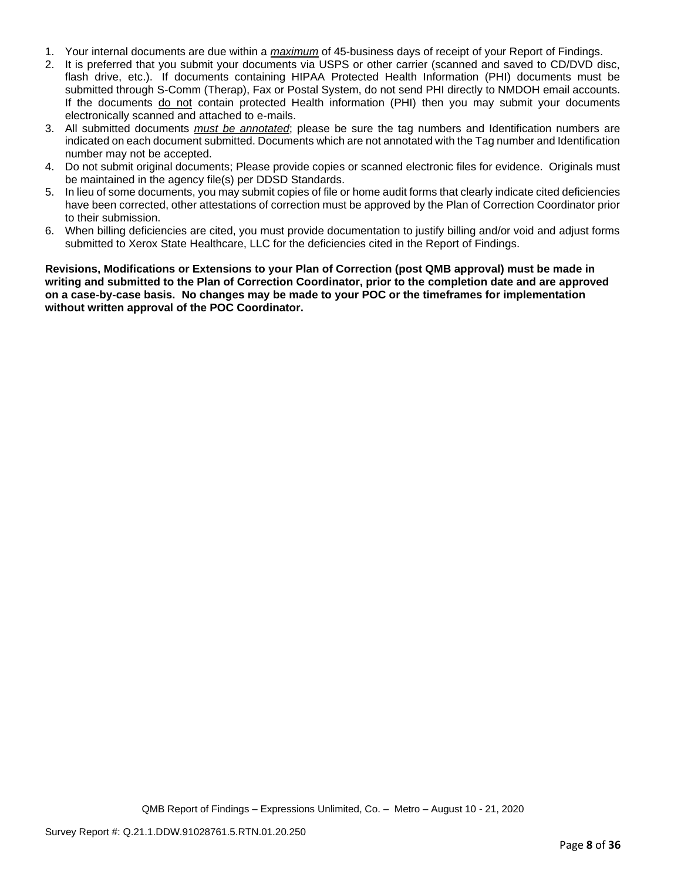- 1. Your internal documents are due within a *maximum* of 45-business days of receipt of your Report of Findings.
- 2. It is preferred that you submit your documents via USPS or other carrier (scanned and saved to CD/DVD disc, flash drive, etc.). If documents containing HIPAA Protected Health Information (PHI) documents must be submitted through S-Comm (Therap), Fax or Postal System, do not send PHI directly to NMDOH email accounts. If the documents do not contain protected Health information (PHI) then you may submit your documents electronically scanned and attached to e-mails.
- 3. All submitted documents *must be annotated*; please be sure the tag numbers and Identification numbers are indicated on each document submitted. Documents which are not annotated with the Tag number and Identification number may not be accepted.
- 4. Do not submit original documents; Please provide copies or scanned electronic files for evidence. Originals must be maintained in the agency file(s) per DDSD Standards.
- 5. In lieu of some documents, you may submit copies of file or home audit forms that clearly indicate cited deficiencies have been corrected, other attestations of correction must be approved by the Plan of Correction Coordinator prior to their submission.
- 6. When billing deficiencies are cited, you must provide documentation to justify billing and/or void and adjust forms submitted to Xerox State Healthcare, LLC for the deficiencies cited in the Report of Findings.

**Revisions, Modifications or Extensions to your Plan of Correction (post QMB approval) must be made in writing and submitted to the Plan of Correction Coordinator, prior to the completion date and are approved on a case-by-case basis. No changes may be made to your POC or the timeframes for implementation without written approval of the POC Coordinator.**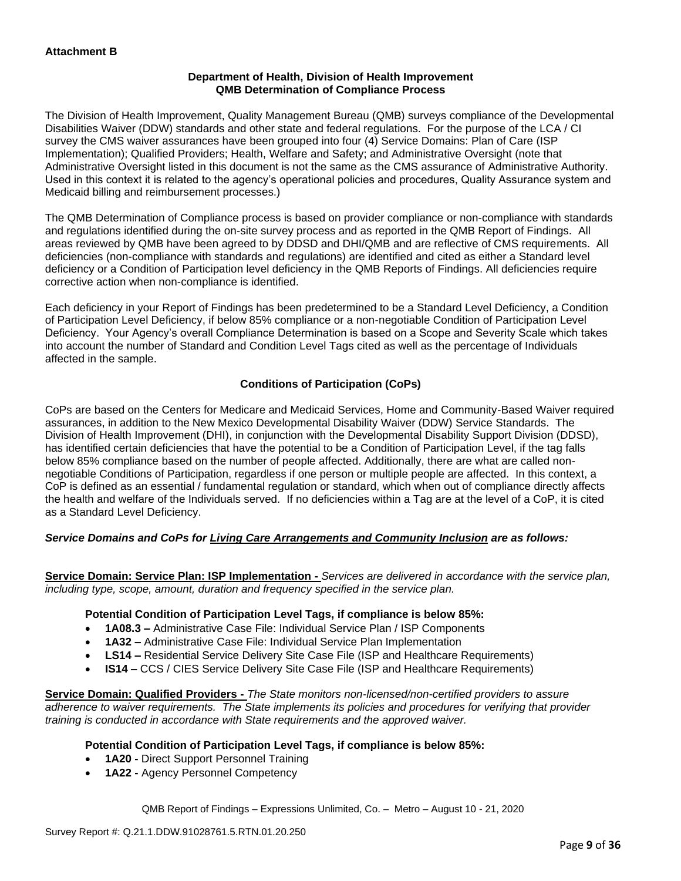### **Department of Health, Division of Health Improvement QMB Determination of Compliance Process**

The Division of Health Improvement, Quality Management Bureau (QMB) surveys compliance of the Developmental Disabilities Waiver (DDW) standards and other state and federal regulations. For the purpose of the LCA / CI survey the CMS waiver assurances have been grouped into four (4) Service Domains: Plan of Care (ISP Implementation); Qualified Providers; Health, Welfare and Safety; and Administrative Oversight (note that Administrative Oversight listed in this document is not the same as the CMS assurance of Administrative Authority. Used in this context it is related to the agency's operational policies and procedures, Quality Assurance system and Medicaid billing and reimbursement processes.)

The QMB Determination of Compliance process is based on provider compliance or non-compliance with standards and regulations identified during the on-site survey process and as reported in the QMB Report of Findings. All areas reviewed by QMB have been agreed to by DDSD and DHI/QMB and are reflective of CMS requirements. All deficiencies (non-compliance with standards and regulations) are identified and cited as either a Standard level deficiency or a Condition of Participation level deficiency in the QMB Reports of Findings. All deficiencies require corrective action when non-compliance is identified.

Each deficiency in your Report of Findings has been predetermined to be a Standard Level Deficiency, a Condition of Participation Level Deficiency, if below 85% compliance or a non-negotiable Condition of Participation Level Deficiency. Your Agency's overall Compliance Determination is based on a Scope and Severity Scale which takes into account the number of Standard and Condition Level Tags cited as well as the percentage of Individuals affected in the sample.

## **Conditions of Participation (CoPs)**

CoPs are based on the Centers for Medicare and Medicaid Services, Home and Community-Based Waiver required assurances, in addition to the New Mexico Developmental Disability Waiver (DDW) Service Standards. The Division of Health Improvement (DHI), in conjunction with the Developmental Disability Support Division (DDSD), has identified certain deficiencies that have the potential to be a Condition of Participation Level, if the tag falls below 85% compliance based on the number of people affected. Additionally, there are what are called nonnegotiable Conditions of Participation, regardless if one person or multiple people are affected. In this context, a CoP is defined as an essential / fundamental regulation or standard, which when out of compliance directly affects the health and welfare of the Individuals served. If no deficiencies within a Tag are at the level of a CoP, it is cited as a Standard Level Deficiency.

## *Service Domains and CoPs for Living Care Arrangements and Community Inclusion are as follows:*

**Service Domain: Service Plan: ISP Implementation -** *Services are delivered in accordance with the service plan, including type, scope, amount, duration and frequency specified in the service plan.*

### **Potential Condition of Participation Level Tags, if compliance is below 85%:**

- **1A08.3 –** Administrative Case File: Individual Service Plan / ISP Components
- **1A32 –** Administrative Case File: Individual Service Plan Implementation
- **LS14 –** Residential Service Delivery Site Case File (ISP and Healthcare Requirements)
- **IS14 –** CCS / CIES Service Delivery Site Case File (ISP and Healthcare Requirements)

**Service Domain: Qualified Providers -** *The State monitors non-licensed/non-certified providers to assure adherence to waiver requirements. The State implements its policies and procedures for verifying that provider training is conducted in accordance with State requirements and the approved waiver.*

## **Potential Condition of Participation Level Tags, if compliance is below 85%:**

- **1A20 -** Direct Support Personnel Training
- **1A22 -** Agency Personnel Competency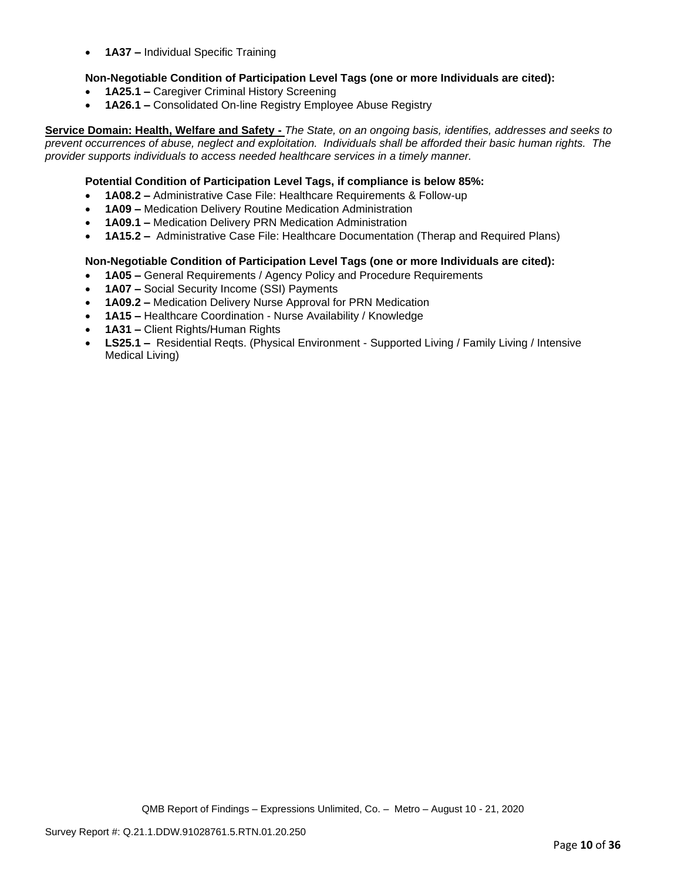• **1A37 –** Individual Specific Training

### **Non-Negotiable Condition of Participation Level Tags (one or more Individuals are cited):**

- **1A25.1 –** Caregiver Criminal History Screening
- **1A26.1 –** Consolidated On-line Registry Employee Abuse Registry

**Service Domain: Health, Welfare and Safety -** *The State, on an ongoing basis, identifies, addresses and seeks to prevent occurrences of abuse, neglect and exploitation. Individuals shall be afforded their basic human rights. The provider supports individuals to access needed healthcare services in a timely manner.*

### **Potential Condition of Participation Level Tags, if compliance is below 85%:**

- **1A08.2 –** Administrative Case File: Healthcare Requirements & Follow-up
- **1A09 –** Medication Delivery Routine Medication Administration
- **1A09.1 –** Medication Delivery PRN Medication Administration
- **1A15.2 –** Administrative Case File: Healthcare Documentation (Therap and Required Plans)

### **Non-Negotiable Condition of Participation Level Tags (one or more Individuals are cited):**

- **1A05 –** General Requirements / Agency Policy and Procedure Requirements
- **1A07 –** Social Security Income (SSI) Payments
- **1A09.2 –** Medication Delivery Nurse Approval for PRN Medication
- **1A15 –** Healthcare Coordination Nurse Availability / Knowledge
- **1A31 –** Client Rights/Human Rights
- **LS25.1 –** Residential Reqts. (Physical Environment Supported Living / Family Living / Intensive Medical Living)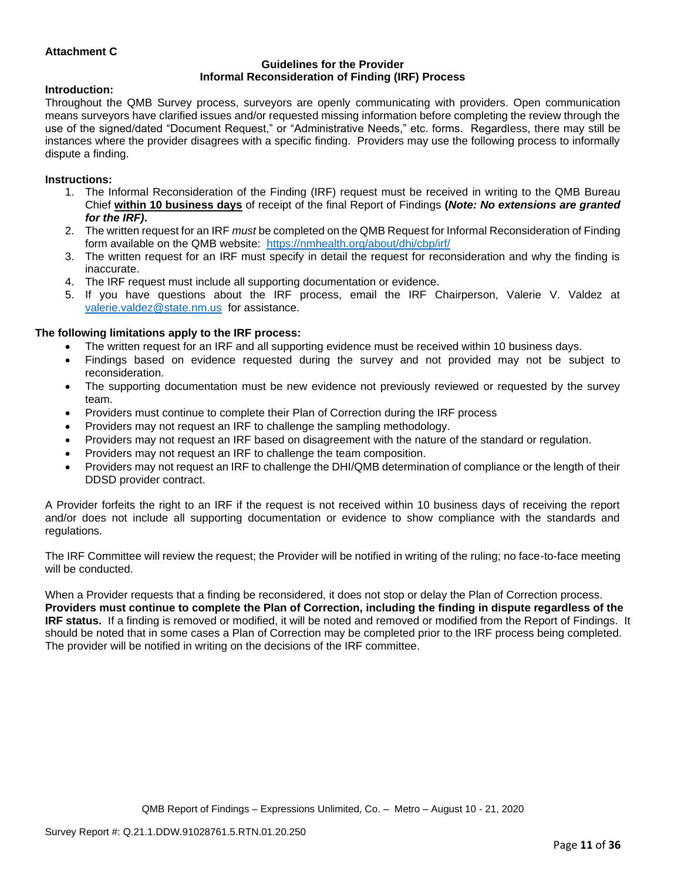### **Attachment C**

#### **Guidelines for the Provider Informal Reconsideration of Finding (IRF) Process**

#### **Introduction:**

Throughout the QMB Survey process, surveyors are openly communicating with providers. Open communication means surveyors have clarified issues and/or requested missing information before completing the review through the use of the signed/dated "Document Request," or "Administrative Needs," etc. forms. Regardless, there may still be instances where the provider disagrees with a specific finding. Providers may use the following process to informally dispute a finding.

#### **Instructions:**

- 1. The Informal Reconsideration of the Finding (IRF) request must be received in writing to the QMB Bureau Chief **within 10 business days** of receipt of the final Report of Findings **(***Note: No extensions are granted for the IRF)***.**
- 2. The written request for an IRF *must* be completed on the QMB Request for Informal Reconsideration of Finding form available on the QMB website: <https://nmhealth.org/about/dhi/cbp/irf/>
- 3. The written request for an IRF must specify in detail the request for reconsideration and why the finding is inaccurate.
- 4. The IRF request must include all supporting documentation or evidence.
- 5. If you have questions about the IRF process, email the IRF Chairperson, Valerie V. Valdez at [valerie.valdez@state.nm.us](mailto:valerie.valdez@state.nm.us) for assistance.

### **The following limitations apply to the IRF process:**

- The written request for an IRF and all supporting evidence must be received within 10 business days.
- Findings based on evidence requested during the survey and not provided may not be subject to reconsideration.
- The supporting documentation must be new evidence not previously reviewed or requested by the survey team.
- Providers must continue to complete their Plan of Correction during the IRF process
- Providers may not request an IRF to challenge the sampling methodology.
- Providers may not request an IRF based on disagreement with the nature of the standard or regulation.
- Providers may not request an IRF to challenge the team composition.
- Providers may not request an IRF to challenge the DHI/QMB determination of compliance or the length of their DDSD provider contract.

A Provider forfeits the right to an IRF if the request is not received within 10 business days of receiving the report and/or does not include all supporting documentation or evidence to show compliance with the standards and regulations.

The IRF Committee will review the request; the Provider will be notified in writing of the ruling; no face-to-face meeting will be conducted.

When a Provider requests that a finding be reconsidered, it does not stop or delay the Plan of Correction process. **Providers must continue to complete the Plan of Correction, including the finding in dispute regardless of the IRF status.** If a finding is removed or modified, it will be noted and removed or modified from the Report of Findings. It should be noted that in some cases a Plan of Correction may be completed prior to the IRF process being completed. The provider will be notified in writing on the decisions of the IRF committee.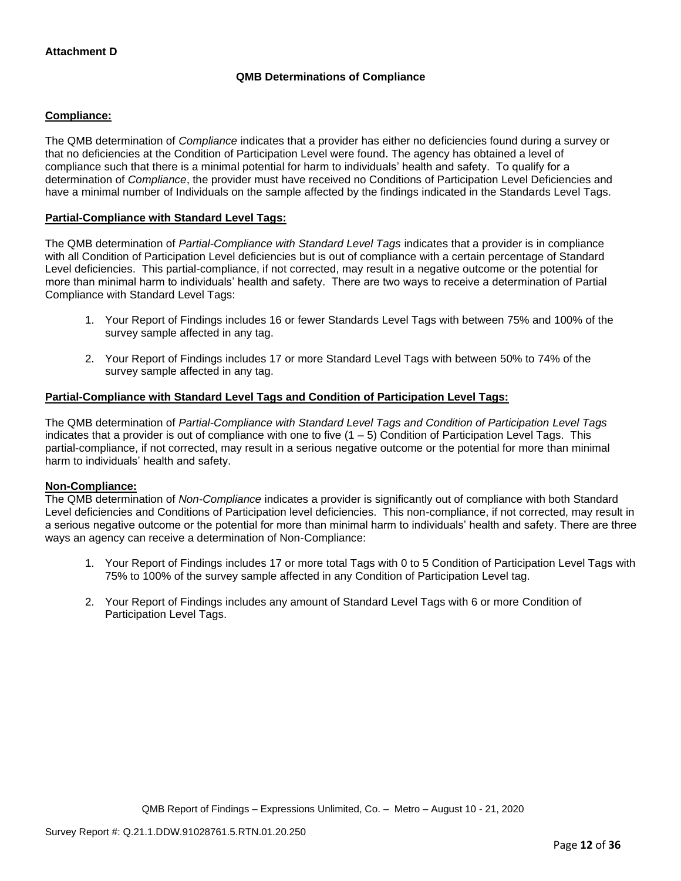## **QMB Determinations of Compliance**

### **Compliance:**

The QMB determination of *Compliance* indicates that a provider has either no deficiencies found during a survey or that no deficiencies at the Condition of Participation Level were found. The agency has obtained a level of compliance such that there is a minimal potential for harm to individuals' health and safety. To qualify for a determination of *Compliance*, the provider must have received no Conditions of Participation Level Deficiencies and have a minimal number of Individuals on the sample affected by the findings indicated in the Standards Level Tags.

### **Partial-Compliance with Standard Level Tags:**

The QMB determination of *Partial-Compliance with Standard Level Tags* indicates that a provider is in compliance with all Condition of Participation Level deficiencies but is out of compliance with a certain percentage of Standard Level deficiencies. This partial-compliance, if not corrected, may result in a negative outcome or the potential for more than minimal harm to individuals' health and safety. There are two ways to receive a determination of Partial Compliance with Standard Level Tags:

- 1. Your Report of Findings includes 16 or fewer Standards Level Tags with between 75% and 100% of the survey sample affected in any tag.
- 2. Your Report of Findings includes 17 or more Standard Level Tags with between 50% to 74% of the survey sample affected in any tag.

## **Partial-Compliance with Standard Level Tags and Condition of Participation Level Tags:**

The QMB determination of *Partial-Compliance with Standard Level Tags and Condition of Participation Level Tags*  indicates that a provider is out of compliance with one to five  $(1 - 5)$  Condition of Participation Level Tags. This partial-compliance, if not corrected, may result in a serious negative outcome or the potential for more than minimal harm to individuals' health and safety.

### **Non-Compliance:**

The QMB determination of *Non-Compliance* indicates a provider is significantly out of compliance with both Standard Level deficiencies and Conditions of Participation level deficiencies. This non-compliance, if not corrected, may result in a serious negative outcome or the potential for more than minimal harm to individuals' health and safety. There are three ways an agency can receive a determination of Non-Compliance:

- 1. Your Report of Findings includes 17 or more total Tags with 0 to 5 Condition of Participation Level Tags with 75% to 100% of the survey sample affected in any Condition of Participation Level tag.
- 2. Your Report of Findings includes any amount of Standard Level Tags with 6 or more Condition of Participation Level Tags.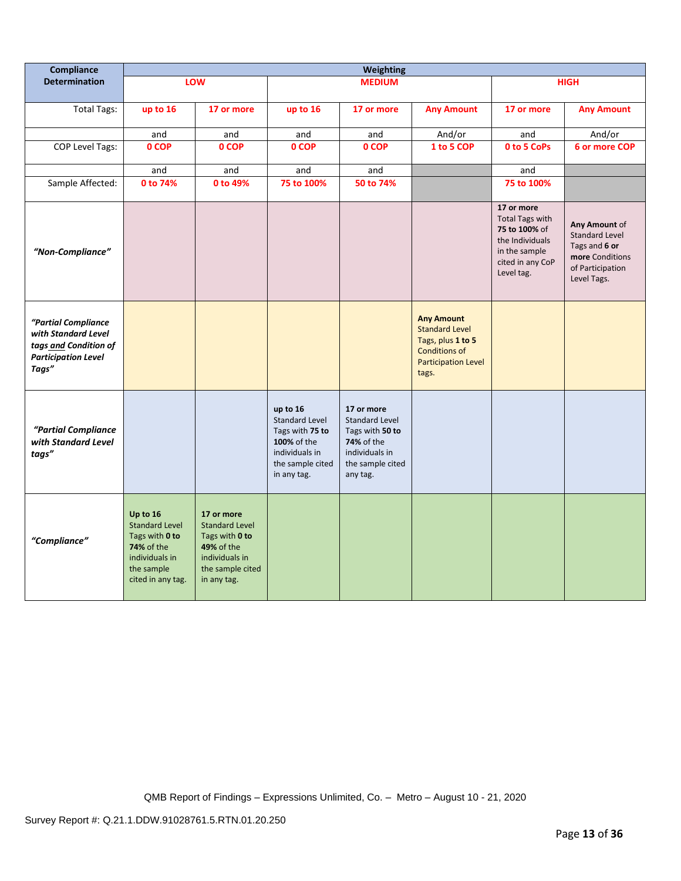| Compliance                                                                                                 | <b>Weighting</b>                                                                                                              |                                                                                                                                 |                                                                                                                          |                                                                                                                        |                                                                                                                                |                                                                                                                             |                                                                                                               |
|------------------------------------------------------------------------------------------------------------|-------------------------------------------------------------------------------------------------------------------------------|---------------------------------------------------------------------------------------------------------------------------------|--------------------------------------------------------------------------------------------------------------------------|------------------------------------------------------------------------------------------------------------------------|--------------------------------------------------------------------------------------------------------------------------------|-----------------------------------------------------------------------------------------------------------------------------|---------------------------------------------------------------------------------------------------------------|
| <b>Determination</b>                                                                                       |                                                                                                                               | LOW                                                                                                                             |                                                                                                                          | <b>MEDIUM</b>                                                                                                          |                                                                                                                                |                                                                                                                             | <b>HIGH</b>                                                                                                   |
| <b>Total Tags:</b>                                                                                         | up to 16                                                                                                                      | 17 or more                                                                                                                      | up to 16                                                                                                                 | 17 or more                                                                                                             | <b>Any Amount</b>                                                                                                              | 17 or more                                                                                                                  | <b>Any Amount</b>                                                                                             |
|                                                                                                            | and                                                                                                                           | and                                                                                                                             | and                                                                                                                      | and                                                                                                                    | And/or                                                                                                                         | and                                                                                                                         | And/or                                                                                                        |
| COP Level Tags:                                                                                            | 0 COP                                                                                                                         | 0 COP                                                                                                                           | 0 COP                                                                                                                    | 0 COP                                                                                                                  | 1 to 5 COP                                                                                                                     | 0 to 5 CoPs                                                                                                                 | 6 or more COP                                                                                                 |
|                                                                                                            | and                                                                                                                           | and                                                                                                                             | and                                                                                                                      | and                                                                                                                    |                                                                                                                                | and                                                                                                                         |                                                                                                               |
| Sample Affected:                                                                                           | 0 to 74%                                                                                                                      | 0 to 49%                                                                                                                        | 75 to 100%                                                                                                               | 50 to 74%                                                                                                              |                                                                                                                                | 75 to 100%                                                                                                                  |                                                                                                               |
| "Non-Compliance"                                                                                           |                                                                                                                               |                                                                                                                                 |                                                                                                                          |                                                                                                                        |                                                                                                                                | 17 or more<br><b>Total Tags with</b><br>75 to 100% of<br>the Individuals<br>in the sample<br>cited in any CoP<br>Level tag. | Any Amount of<br><b>Standard Level</b><br>Tags and 6 or<br>more Conditions<br>of Participation<br>Level Tags. |
| "Partial Compliance<br>with Standard Level<br>tags and Condition of<br><b>Participation Level</b><br>Tags" |                                                                                                                               |                                                                                                                                 |                                                                                                                          |                                                                                                                        | <b>Any Amount</b><br><b>Standard Level</b><br>Tags, plus 1 to 5<br><b>Conditions of</b><br><b>Participation Level</b><br>tags. |                                                                                                                             |                                                                                                               |
| "Partial Compliance<br>with Standard Level<br>tags"                                                        |                                                                                                                               |                                                                                                                                 | up to 16<br><b>Standard Level</b><br>Tags with 75 to<br>100% of the<br>individuals in<br>the sample cited<br>in any tag. | 17 or more<br><b>Standard Level</b><br>Tags with 50 to<br>74% of the<br>individuals in<br>the sample cited<br>any tag. |                                                                                                                                |                                                                                                                             |                                                                                                               |
| "Compliance"                                                                                               | Up to 16<br><b>Standard Level</b><br>Tags with 0 to<br><b>74% of the</b><br>individuals in<br>the sample<br>cited in any tag. | 17 or more<br><b>Standard Level</b><br>Tags with 0 to<br><b>49% of the</b><br>individuals in<br>the sample cited<br>in any tag. |                                                                                                                          |                                                                                                                        |                                                                                                                                |                                                                                                                             |                                                                                                               |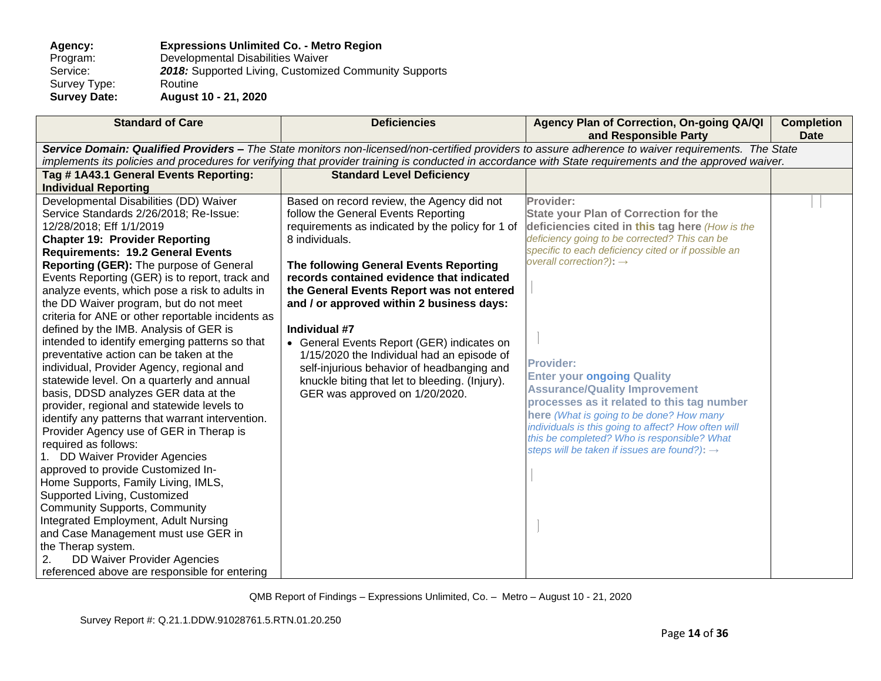### **Agency: Expressions Unlimited Co. - Metro Region** Program: Developmental Disabilities Waiver<br>Service: 2018: Supported Living, Customize 2018: Supported Living, Customized Community Supports Routine Survey Type:<br>Survey Date: **Survey Date: August 10 - 21, 2020**

| <b>Standard of Care</b>                                                                                                                                                                                                                                                                                                                                                                                                                                                                                                                                                                                                                                                                                                                                                                                                                                                                                                                                                                                                                                                                                                                                                                    | <b>Deficiencies</b>                                                                                                                                                                                                                                                                                                                                                                                                                                                                                                                                                                     | Agency Plan of Correction, On-going QA/QI<br>and Responsible Party                                                                                                                                                                                                                                                                                                                                                                                                                                                                                                                                                       | <b>Completion</b><br><b>Date</b> |  |
|--------------------------------------------------------------------------------------------------------------------------------------------------------------------------------------------------------------------------------------------------------------------------------------------------------------------------------------------------------------------------------------------------------------------------------------------------------------------------------------------------------------------------------------------------------------------------------------------------------------------------------------------------------------------------------------------------------------------------------------------------------------------------------------------------------------------------------------------------------------------------------------------------------------------------------------------------------------------------------------------------------------------------------------------------------------------------------------------------------------------------------------------------------------------------------------------|-----------------------------------------------------------------------------------------------------------------------------------------------------------------------------------------------------------------------------------------------------------------------------------------------------------------------------------------------------------------------------------------------------------------------------------------------------------------------------------------------------------------------------------------------------------------------------------------|--------------------------------------------------------------------------------------------------------------------------------------------------------------------------------------------------------------------------------------------------------------------------------------------------------------------------------------------------------------------------------------------------------------------------------------------------------------------------------------------------------------------------------------------------------------------------------------------------------------------------|----------------------------------|--|
| Service Domain: Qualified Providers - The State monitors non-licensed/non-certified providers to assure adherence to waiver requirements. The State                                                                                                                                                                                                                                                                                                                                                                                                                                                                                                                                                                                                                                                                                                                                                                                                                                                                                                                                                                                                                                        |                                                                                                                                                                                                                                                                                                                                                                                                                                                                                                                                                                                         |                                                                                                                                                                                                                                                                                                                                                                                                                                                                                                                                                                                                                          |                                  |  |
|                                                                                                                                                                                                                                                                                                                                                                                                                                                                                                                                                                                                                                                                                                                                                                                                                                                                                                                                                                                                                                                                                                                                                                                            |                                                                                                                                                                                                                                                                                                                                                                                                                                                                                                                                                                                         | implements its policies and procedures for verifying that provider training is conducted in accordance with State requirements and the approved waiver.                                                                                                                                                                                                                                                                                                                                                                                                                                                                  |                                  |  |
| Tag #1A43.1 General Events Reporting:                                                                                                                                                                                                                                                                                                                                                                                                                                                                                                                                                                                                                                                                                                                                                                                                                                                                                                                                                                                                                                                                                                                                                      | <b>Standard Level Deficiency</b>                                                                                                                                                                                                                                                                                                                                                                                                                                                                                                                                                        |                                                                                                                                                                                                                                                                                                                                                                                                                                                                                                                                                                                                                          |                                  |  |
| <b>Individual Reporting</b>                                                                                                                                                                                                                                                                                                                                                                                                                                                                                                                                                                                                                                                                                                                                                                                                                                                                                                                                                                                                                                                                                                                                                                |                                                                                                                                                                                                                                                                                                                                                                                                                                                                                                                                                                                         |                                                                                                                                                                                                                                                                                                                                                                                                                                                                                                                                                                                                                          |                                  |  |
| Developmental Disabilities (DD) Waiver<br>Service Standards 2/26/2018; Re-Issue:<br>12/28/2018; Eff 1/1/2019<br><b>Chapter 19: Provider Reporting</b><br><b>Requirements: 19.2 General Events</b><br>Reporting (GER): The purpose of General<br>Events Reporting (GER) is to report, track and<br>analyze events, which pose a risk to adults in<br>the DD Waiver program, but do not meet<br>criteria for ANE or other reportable incidents as<br>defined by the IMB. Analysis of GER is<br>intended to identify emerging patterns so that<br>preventative action can be taken at the<br>individual, Provider Agency, regional and<br>statewide level. On a quarterly and annual<br>basis, DDSD analyzes GER data at the<br>provider, regional and statewide levels to<br>identify any patterns that warrant intervention.<br>Provider Agency use of GER in Therap is<br>required as follows:<br>1. DD Waiver Provider Agencies<br>approved to provide Customized In-<br>Home Supports, Family Living, IMLS,<br>Supported Living, Customized<br><b>Community Supports, Community</b><br>Integrated Employment, Adult Nursing<br>and Case Management must use GER in<br>the Therap system. | Based on record review, the Agency did not<br>follow the General Events Reporting<br>requirements as indicated by the policy for 1 of<br>8 individuals.<br>The following General Events Reporting<br>records contained evidence that indicated<br>the General Events Report was not entered<br>and / or approved within 2 business days:<br>Individual #7<br>• General Events Report (GER) indicates on<br>1/15/2020 the Individual had an episode of<br>self-injurious behavior of headbanging and<br>knuckle biting that let to bleeding. (Injury).<br>GER was approved on 1/20/2020. | Provider:<br><b>State your Plan of Correction for the</b><br>deficiencies cited in this tag here (How is the<br>deficiency going to be corrected? This can be<br>specific to each deficiency cited or if possible an<br>overall correction?): $\rightarrow$<br><b>Provider:</b><br><b>Enter your ongoing Quality</b><br><b>Assurance/Quality Improvement</b><br>processes as it related to this tag number<br>here (What is going to be done? How many<br>individuals is this going to affect? How often will<br>this be completed? Who is responsible? What<br>steps will be taken if issues are found?): $\rightarrow$ |                                  |  |
| <b>DD Waiver Provider Agencies</b><br>referenced above are responsible for entering                                                                                                                                                                                                                                                                                                                                                                                                                                                                                                                                                                                                                                                                                                                                                                                                                                                                                                                                                                                                                                                                                                        |                                                                                                                                                                                                                                                                                                                                                                                                                                                                                                                                                                                         |                                                                                                                                                                                                                                                                                                                                                                                                                                                                                                                                                                                                                          |                                  |  |
|                                                                                                                                                                                                                                                                                                                                                                                                                                                                                                                                                                                                                                                                                                                                                                                                                                                                                                                                                                                                                                                                                                                                                                                            |                                                                                                                                                                                                                                                                                                                                                                                                                                                                                                                                                                                         |                                                                                                                                                                                                                                                                                                                                                                                                                                                                                                                                                                                                                          |                                  |  |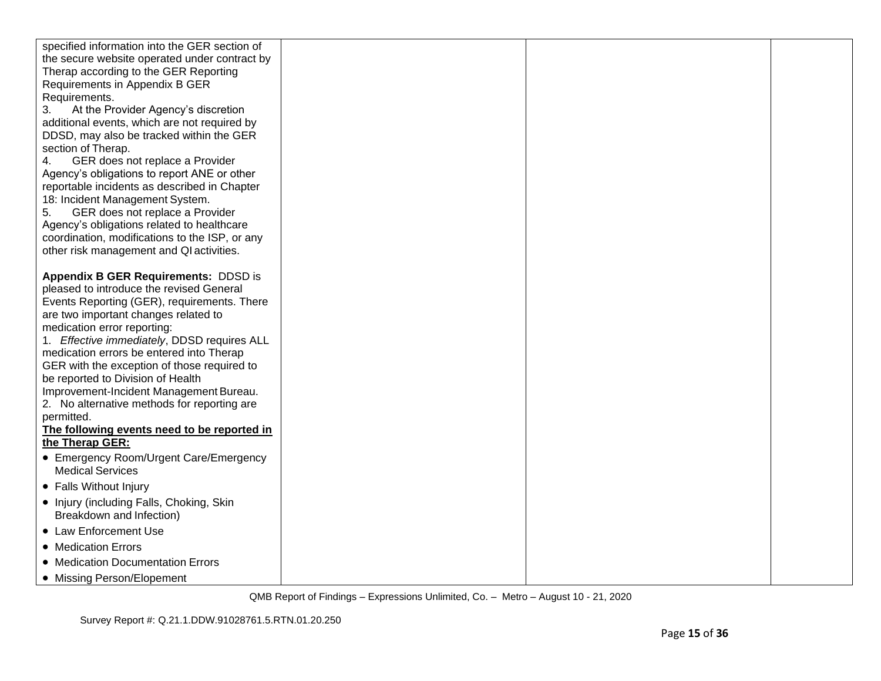| specified information into the GER section of                                |  |  |
|------------------------------------------------------------------------------|--|--|
| the secure website operated under contract by                                |  |  |
| Therap according to the GER Reporting                                        |  |  |
| Requirements in Appendix B GER                                               |  |  |
| Requirements.                                                                |  |  |
| 3.<br>At the Provider Agency's discretion                                    |  |  |
| additional events, which are not required by                                 |  |  |
| DDSD, may also be tracked within the GER                                     |  |  |
| section of Therap.                                                           |  |  |
| GER does not replace a Provider<br>4.                                        |  |  |
| Agency's obligations to report ANE or other                                  |  |  |
| reportable incidents as described in Chapter                                 |  |  |
| 18: Incident Management System.<br>5.<br>GER does not replace a Provider     |  |  |
| Agency's obligations related to healthcare                                   |  |  |
| coordination, modifications to the ISP, or any                               |  |  |
| other risk management and QI activities.                                     |  |  |
|                                                                              |  |  |
| <b>Appendix B GER Requirements: DDSD is</b>                                  |  |  |
| pleased to introduce the revised General                                     |  |  |
| Events Reporting (GER), requirements. There                                  |  |  |
| are two important changes related to                                         |  |  |
| medication error reporting:                                                  |  |  |
| 1. Effective immediately, DDSD requires ALL                                  |  |  |
| medication errors be entered into Therap                                     |  |  |
| GER with the exception of those required to                                  |  |  |
| be reported to Division of Health<br>Improvement-Incident Management Bureau. |  |  |
| 2. No alternative methods for reporting are                                  |  |  |
| permitted.                                                                   |  |  |
| The following events need to be reported in                                  |  |  |
| the Therap GER:                                                              |  |  |
| • Emergency Room/Urgent Care/Emergency                                       |  |  |
| <b>Medical Services</b>                                                      |  |  |
| • Falls Without Injury                                                       |  |  |
| • Injury (including Falls, Choking, Skin<br>Breakdown and Infection)         |  |  |
| • Law Enforcement Use                                                        |  |  |
| • Medication Errors                                                          |  |  |
| • Medication Documentation Errors                                            |  |  |
| • Missing Person/Elopement                                                   |  |  |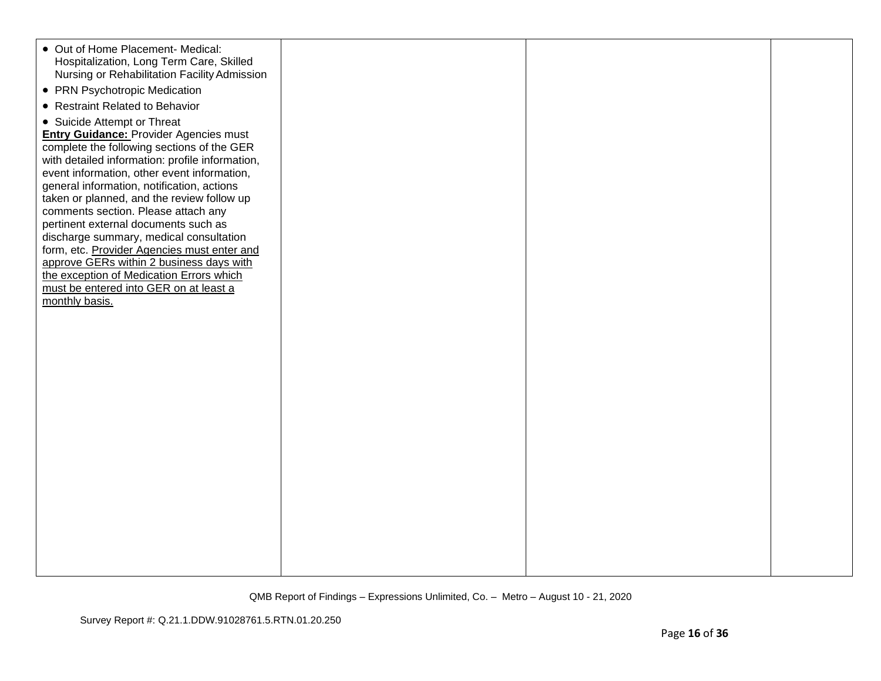| • Out of Home Placement- Medical:<br>Hospitalization, Long Term Care, Skilled<br>Nursing or Rehabilitation Facility Admission<br>• PRN Psychotropic Medication |  |  |
|----------------------------------------------------------------------------------------------------------------------------------------------------------------|--|--|
| • Restraint Related to Behavior                                                                                                                                |  |  |
| • Suicide Attempt or Threat                                                                                                                                    |  |  |
| <b>Entry Guidance: Provider Agencies must</b>                                                                                                                  |  |  |
| complete the following sections of the GER                                                                                                                     |  |  |
| with detailed information: profile information,                                                                                                                |  |  |
| event information, other event information,                                                                                                                    |  |  |
| general information, notification, actions                                                                                                                     |  |  |
| taken or planned, and the review follow up                                                                                                                     |  |  |
| comments section. Please attach any<br>pertinent external documents such as                                                                                    |  |  |
| discharge summary, medical consultation                                                                                                                        |  |  |
| form, etc. Provider Agencies must enter and                                                                                                                    |  |  |
| approve GERs within 2 business days with                                                                                                                       |  |  |
| the exception of Medication Errors which                                                                                                                       |  |  |
| must be entered into GER on at least a                                                                                                                         |  |  |
| monthly basis.                                                                                                                                                 |  |  |
|                                                                                                                                                                |  |  |
|                                                                                                                                                                |  |  |
|                                                                                                                                                                |  |  |
|                                                                                                                                                                |  |  |
|                                                                                                                                                                |  |  |
|                                                                                                                                                                |  |  |
|                                                                                                                                                                |  |  |
|                                                                                                                                                                |  |  |
|                                                                                                                                                                |  |  |
|                                                                                                                                                                |  |  |
|                                                                                                                                                                |  |  |
|                                                                                                                                                                |  |  |
|                                                                                                                                                                |  |  |
|                                                                                                                                                                |  |  |
|                                                                                                                                                                |  |  |
|                                                                                                                                                                |  |  |
|                                                                                                                                                                |  |  |
|                                                                                                                                                                |  |  |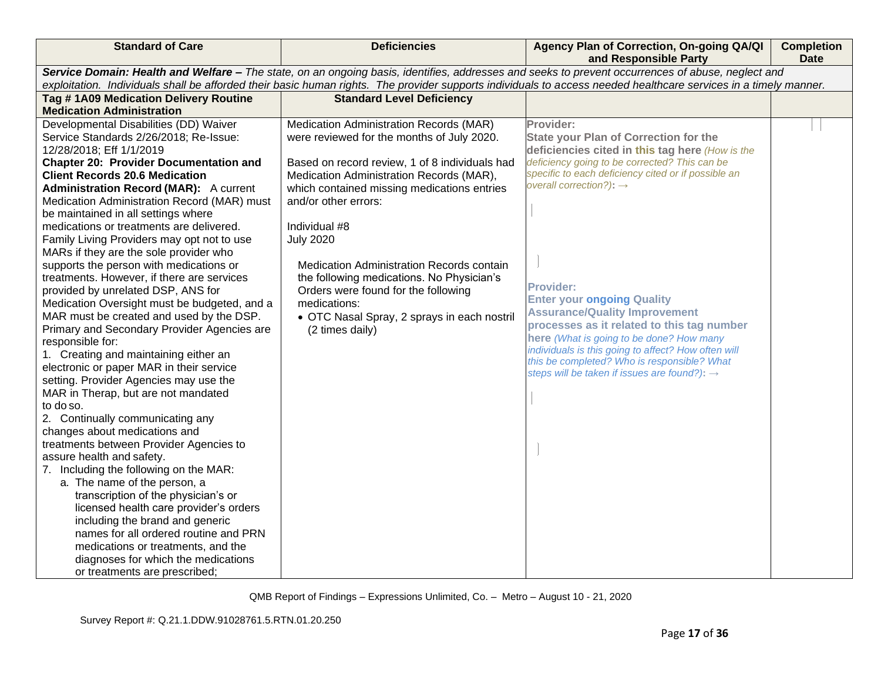| and Responsible Party                                                                                                                                                                  | Agency Plan of Correction, On-going QA/QI | <b>Completion</b><br><b>Date</b> |  |  |
|----------------------------------------------------------------------------------------------------------------------------------------------------------------------------------------|-------------------------------------------|----------------------------------|--|--|
| Service Domain: Health and Welfare - The state, on an ongoing basis, identifies, addresses and seeks to prevent occurrences of abuse, neglect and                                      |                                           |                                  |  |  |
| exploitation. Individuals shall be afforded their basic human rights. The provider supports individuals to access needed healthcare services in a timely manner.                       |                                           |                                  |  |  |
| Tag #1A09 Medication Delivery Routine<br><b>Standard Level Deficiency</b>                                                                                                              |                                           |                                  |  |  |
| <b>Medication Administration</b>                                                                                                                                                       |                                           |                                  |  |  |
| Developmental Disabilities (DD) Waiver<br>Medication Administration Records (MAR)<br>Provider:<br>were reviewed for the months of July 2020.<br>Service Standards 2/26/2018; Re-Issue: |                                           |                                  |  |  |
| <b>State your Plan of Correction for the</b><br>deficiencies cited in this tag here (How is the<br>12/28/2018; Eff 1/1/2019                                                            |                                           |                                  |  |  |
| deficiency going to be corrected? This can be<br><b>Chapter 20: Provider Documentation and</b><br>Based on record review, 1 of 8 individuals had                                       |                                           |                                  |  |  |
| specific to each deficiency cited or if possible an<br><b>Client Records 20.6 Medication</b><br>Medication Administration Records (MAR),                                               |                                           |                                  |  |  |
| overall correction?): $\rightarrow$<br>which contained missing medications entries<br><b>Administration Record (MAR):</b> A current                                                    |                                           |                                  |  |  |
| Medication Administration Record (MAR) must<br>and/or other errors:                                                                                                                    |                                           |                                  |  |  |
| be maintained in all settings where                                                                                                                                                    |                                           |                                  |  |  |
| Individual #8<br>medications or treatments are delivered.                                                                                                                              |                                           |                                  |  |  |
| Family Living Providers may opt not to use<br><b>July 2020</b>                                                                                                                         |                                           |                                  |  |  |
| MARs if they are the sole provider who                                                                                                                                                 |                                           |                                  |  |  |
| supports the person with medications or<br>Medication Administration Records contain<br>treatments. However, if there are services<br>the following medications. No Physician's        |                                           |                                  |  |  |
| <b>Provider:</b><br>provided by unrelated DSP, ANS for<br>Orders were found for the following                                                                                          |                                           |                                  |  |  |
| <b>Enter your ongoing Quality</b><br>Medication Oversight must be budgeted, and a<br>medications:                                                                                      |                                           |                                  |  |  |
| <b>Assurance/Quality Improvement</b><br>MAR must be created and used by the DSP.<br>• OTC Nasal Spray, 2 sprays in each nostril                                                        |                                           |                                  |  |  |
| processes as it related to this tag number<br>Primary and Secondary Provider Agencies are<br>(2 times daily)                                                                           |                                           |                                  |  |  |
| here (What is going to be done? How many<br>responsible for:                                                                                                                           |                                           |                                  |  |  |
| individuals is this going to affect? How often will<br>1. Creating and maintaining either an<br>this be completed? Who is responsible? What                                            |                                           |                                  |  |  |
| electronic or paper MAR in their service<br>steps will be taken if issues are found?): $\rightarrow$                                                                                   |                                           |                                  |  |  |
| setting. Provider Agencies may use the                                                                                                                                                 |                                           |                                  |  |  |
| MAR in Therap, but are not mandated<br>to do so.                                                                                                                                       |                                           |                                  |  |  |
| 2. Continually communicating any                                                                                                                                                       |                                           |                                  |  |  |
| changes about medications and                                                                                                                                                          |                                           |                                  |  |  |
| treatments between Provider Agencies to                                                                                                                                                |                                           |                                  |  |  |
| assure health and safety.                                                                                                                                                              |                                           |                                  |  |  |
| 7. Including the following on the MAR:                                                                                                                                                 |                                           |                                  |  |  |
| a. The name of the person, a                                                                                                                                                           |                                           |                                  |  |  |
| transcription of the physician's or                                                                                                                                                    |                                           |                                  |  |  |
| licensed health care provider's orders                                                                                                                                                 |                                           |                                  |  |  |
| including the brand and generic<br>names for all ordered routine and PRN                                                                                                               |                                           |                                  |  |  |
| medications or treatments, and the                                                                                                                                                     |                                           |                                  |  |  |
| diagnoses for which the medications                                                                                                                                                    |                                           |                                  |  |  |
| or treatments are prescribed;                                                                                                                                                          |                                           |                                  |  |  |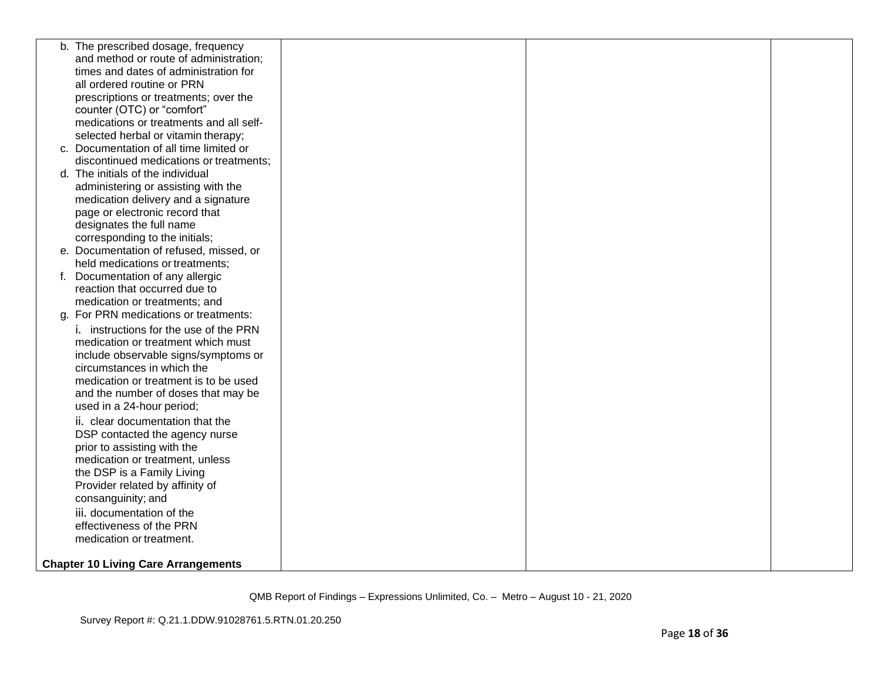| b. The prescribed dosage, frequency        |  |  |
|--------------------------------------------|--|--|
| and method or route of administration;     |  |  |
| times and dates of administration for      |  |  |
| all ordered routine or PRN                 |  |  |
| prescriptions or treatments; over the      |  |  |
| counter (OTC) or "comfort"                 |  |  |
| medications or treatments and all self-    |  |  |
| selected herbal or vitamin therapy;        |  |  |
| c. Documentation of all time limited or    |  |  |
| discontinued medications or treatments;    |  |  |
| d. The initials of the individual          |  |  |
| administering or assisting with the        |  |  |
| medication delivery and a signature        |  |  |
| page or electronic record that             |  |  |
| designates the full name                   |  |  |
| corresponding to the initials;             |  |  |
| e. Documentation of refused, missed, or    |  |  |
| held medications or treatments;            |  |  |
| f. Documentation of any allergic           |  |  |
| reaction that occurred due to              |  |  |
| medication or treatments; and              |  |  |
| g. For PRN medications or treatments:      |  |  |
| i. instructions for the use of the PRN     |  |  |
| medication or treatment which must         |  |  |
| include observable signs/symptoms or       |  |  |
| circumstances in which the                 |  |  |
| medication or treatment is to be used      |  |  |
| and the number of doses that may be        |  |  |
| used in a 24-hour period;                  |  |  |
| ii. clear documentation that the           |  |  |
| DSP contacted the agency nurse             |  |  |
| prior to assisting with the                |  |  |
| medication or treatment, unless            |  |  |
| the DSP is a Family Living                 |  |  |
| Provider related by affinity of            |  |  |
| consanguinity; and                         |  |  |
| iii. documentation of the                  |  |  |
| effectiveness of the PRN                   |  |  |
| medication or treatment.                   |  |  |
|                                            |  |  |
| <b>Chapter 10 Living Care Arrangements</b> |  |  |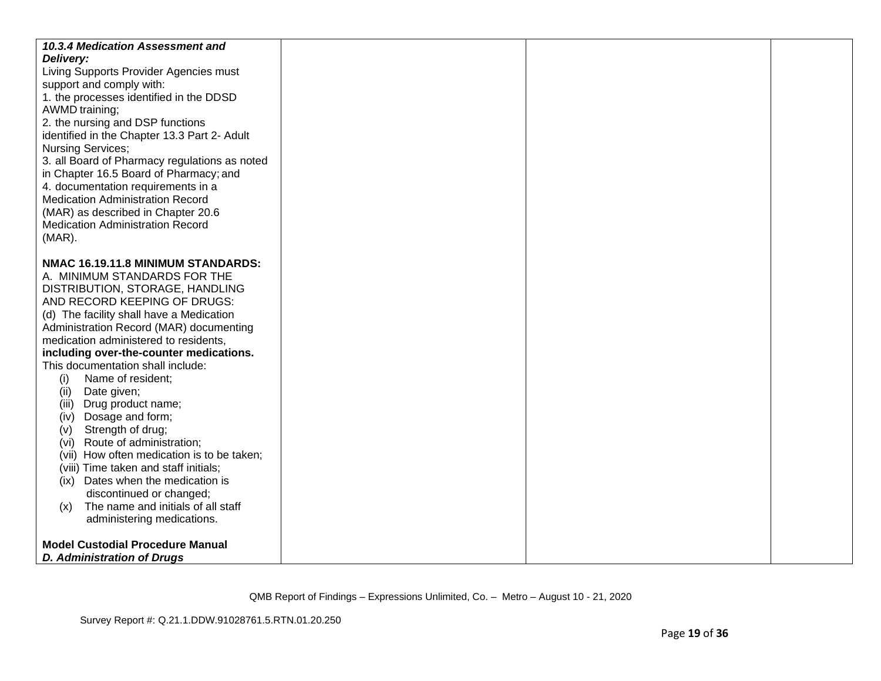| 10.3.4 Medication Assessment and<br>Delivery:<br>Living Supports Provider Agencies must<br>support and comply with:<br>1. the processes identified in the DDSD<br>AWMD training;<br>2. the nursing and DSP functions<br>identified in the Chapter 13.3 Part 2- Adult<br><b>Nursing Services;</b><br>3. all Board of Pharmacy regulations as noted<br>in Chapter 16.5 Board of Pharmacy; and<br>4. documentation requirements in a<br><b>Medication Administration Record</b><br>(MAR) as described in Chapter 20.6 |  |  |
|--------------------------------------------------------------------------------------------------------------------------------------------------------------------------------------------------------------------------------------------------------------------------------------------------------------------------------------------------------------------------------------------------------------------------------------------------------------------------------------------------------------------|--|--|
| <b>Medication Administration Record</b><br>$(MAR)$ .                                                                                                                                                                                                                                                                                                                                                                                                                                                               |  |  |
| NMAC 16.19.11.8 MINIMUM STANDARDS:<br>A. MINIMUM STANDARDS FOR THE                                                                                                                                                                                                                                                                                                                                                                                                                                                 |  |  |
| DISTRIBUTION, STORAGE, HANDLING<br>AND RECORD KEEPING OF DRUGS:                                                                                                                                                                                                                                                                                                                                                                                                                                                    |  |  |
| (d) The facility shall have a Medication<br>Administration Record (MAR) documenting                                                                                                                                                                                                                                                                                                                                                                                                                                |  |  |
| medication administered to residents,                                                                                                                                                                                                                                                                                                                                                                                                                                                                              |  |  |
| including over-the-counter medications.<br>This documentation shall include:                                                                                                                                                                                                                                                                                                                                                                                                                                       |  |  |
| Name of resident;<br>(i)                                                                                                                                                                                                                                                                                                                                                                                                                                                                                           |  |  |
| Date given;<br>(ii)                                                                                                                                                                                                                                                                                                                                                                                                                                                                                                |  |  |
| (iii) Drug product name;                                                                                                                                                                                                                                                                                                                                                                                                                                                                                           |  |  |
| Dosage and form;<br>(iv)                                                                                                                                                                                                                                                                                                                                                                                                                                                                                           |  |  |
| Strength of drug;<br>(V)<br>Route of administration;<br>(Vi)                                                                                                                                                                                                                                                                                                                                                                                                                                                       |  |  |
| (vii) How often medication is to be taken;                                                                                                                                                                                                                                                                                                                                                                                                                                                                         |  |  |
| (viii) Time taken and staff initials;                                                                                                                                                                                                                                                                                                                                                                                                                                                                              |  |  |
| (ix) Dates when the medication is                                                                                                                                                                                                                                                                                                                                                                                                                                                                                  |  |  |
| discontinued or changed;                                                                                                                                                                                                                                                                                                                                                                                                                                                                                           |  |  |
| The name and initials of all staff<br>(x)<br>administering medications.                                                                                                                                                                                                                                                                                                                                                                                                                                            |  |  |
|                                                                                                                                                                                                                                                                                                                                                                                                                                                                                                                    |  |  |
| <b>Model Custodial Procedure Manual</b>                                                                                                                                                                                                                                                                                                                                                                                                                                                                            |  |  |
| <b>D. Administration of Drugs</b>                                                                                                                                                                                                                                                                                                                                                                                                                                                                                  |  |  |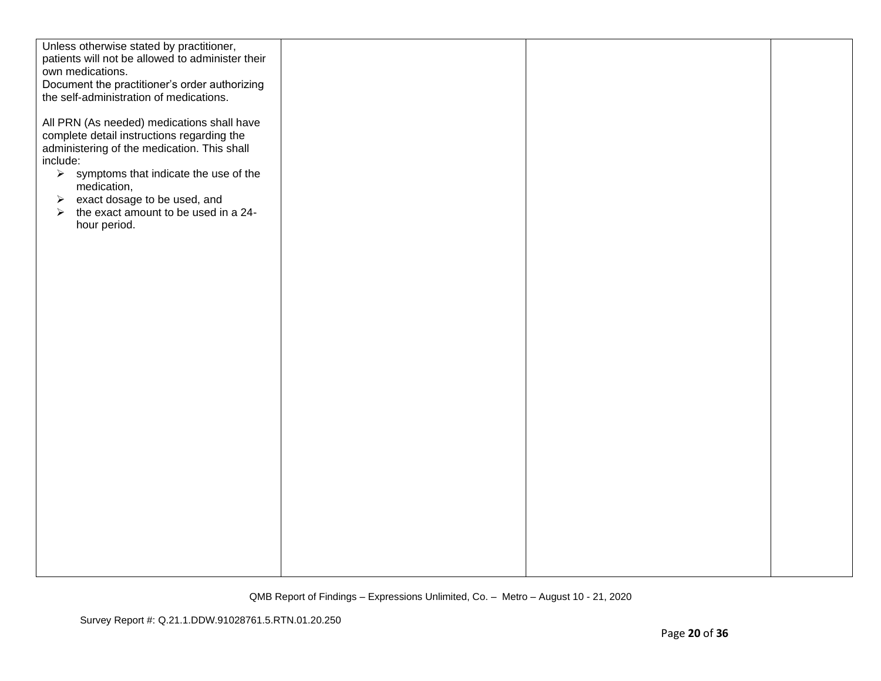| Unless otherwise stated by practitioner,<br>patients will not be allowed to administer their |  |
|----------------------------------------------------------------------------------------------|--|
| own medications.                                                                             |  |
| Document the practitioner's order authorizing                                                |  |
| the self-administration of medications.                                                      |  |
|                                                                                              |  |
| All PRN (As needed) medications shall have                                                   |  |
| complete detail instructions regarding the                                                   |  |
| administering of the medication. This shall                                                  |  |
| include:                                                                                     |  |
| $\triangleright$ symptoms that indicate the use of the                                       |  |
| medication,                                                                                  |  |
| $\triangleright$ exact dosage to be used, and                                                |  |
| $\triangleright$ the exact amount to be used in a 24-                                        |  |
| hour period.                                                                                 |  |
|                                                                                              |  |
|                                                                                              |  |
|                                                                                              |  |
|                                                                                              |  |
|                                                                                              |  |
|                                                                                              |  |
|                                                                                              |  |
|                                                                                              |  |
|                                                                                              |  |
|                                                                                              |  |
|                                                                                              |  |
|                                                                                              |  |
|                                                                                              |  |
|                                                                                              |  |
|                                                                                              |  |
|                                                                                              |  |
|                                                                                              |  |
|                                                                                              |  |
|                                                                                              |  |
|                                                                                              |  |
|                                                                                              |  |
|                                                                                              |  |
|                                                                                              |  |
|                                                                                              |  |
|                                                                                              |  |
|                                                                                              |  |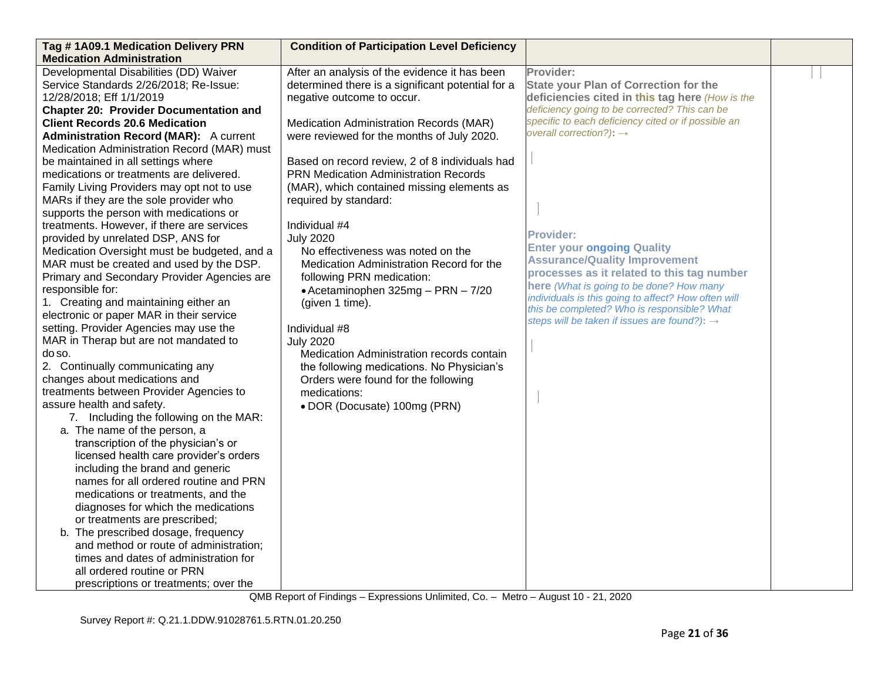| Tag #1A09.1 Medication Delivery PRN                                           | <b>Condition of Participation Level Deficiency</b> |                                                                                    |  |
|-------------------------------------------------------------------------------|----------------------------------------------------|------------------------------------------------------------------------------------|--|
| <b>Medication Administration</b>                                              |                                                    |                                                                                    |  |
| Developmental Disabilities (DD) Waiver                                        | After an analysis of the evidence it has been      | Provider:                                                                          |  |
| Service Standards 2/26/2018; Re-Issue:                                        | determined there is a significant potential for a  | <b>State your Plan of Correction for the</b>                                       |  |
| 12/28/2018; Eff 1/1/2019                                                      | negative outcome to occur.                         | deficiencies cited in this tag here (How is the                                    |  |
| <b>Chapter 20: Provider Documentation and</b>                                 |                                                    | deficiency going to be corrected? This can be                                      |  |
| <b>Client Records 20.6 Medication</b>                                         | Medication Administration Records (MAR)            | specific to each deficiency cited or if possible an                                |  |
| <b>Administration Record (MAR):</b> A current                                 | were reviewed for the months of July 2020.         | overall correction?): $\rightarrow$                                                |  |
| Medication Administration Record (MAR) must                                   |                                                    |                                                                                    |  |
| be maintained in all settings where                                           | Based on record review, 2 of 8 individuals had     |                                                                                    |  |
| medications or treatments are delivered.                                      | <b>PRN Medication Administration Records</b>       |                                                                                    |  |
| Family Living Providers may opt not to use                                    | (MAR), which contained missing elements as         |                                                                                    |  |
| MARs if they are the sole provider who                                        | required by standard:                              |                                                                                    |  |
| supports the person with medications or                                       |                                                    |                                                                                    |  |
| treatments. However, if there are services                                    | Individual #4                                      |                                                                                    |  |
| provided by unrelated DSP, ANS for                                            | <b>July 2020</b>                                   | <b>Provider:</b>                                                                   |  |
| Medication Oversight must be budgeted, and a                                  | No effectiveness was noted on the                  | <b>Enter your ongoing Quality</b>                                                  |  |
| MAR must be created and used by the DSP.                                      | Medication Administration Record for the           | <b>Assurance/Quality Improvement</b><br>processes as it related to this tag number |  |
| Primary and Secondary Provider Agencies are                                   | following PRN medication:                          | here (What is going to be done? How many                                           |  |
| responsible for:                                                              | • Acetaminophen 325mg - PRN - 7/20                 | individuals is this going to affect? How often will                                |  |
| 1. Creating and maintaining either an                                         | (given 1 time).                                    | this be completed? Who is responsible? What                                        |  |
| electronic or paper MAR in their service                                      |                                                    | steps will be taken if issues are found?): $\rightarrow$                           |  |
| setting. Provider Agencies may use the                                        | Individual #8                                      |                                                                                    |  |
| MAR in Therap but are not mandated to                                         | <b>July 2020</b>                                   |                                                                                    |  |
| do so.                                                                        | Medication Administration records contain          |                                                                                    |  |
| 2. Continually communicating any                                              | the following medications. No Physician's          |                                                                                    |  |
| changes about medications and                                                 | Orders were found for the following                |                                                                                    |  |
| treatments between Provider Agencies to                                       | medications:                                       |                                                                                    |  |
| assure health and safety.                                                     | • DOR (Docusate) 100mg (PRN)                       |                                                                                    |  |
| 7. Including the following on the MAR:                                        |                                                    |                                                                                    |  |
| a. The name of the person, a                                                  |                                                    |                                                                                    |  |
| transcription of the physician's or<br>licensed health care provider's orders |                                                    |                                                                                    |  |
| including the brand and generic                                               |                                                    |                                                                                    |  |
| names for all ordered routine and PRN                                         |                                                    |                                                                                    |  |
| medications or treatments, and the                                            |                                                    |                                                                                    |  |
| diagnoses for which the medications                                           |                                                    |                                                                                    |  |
| or treatments are prescribed;                                                 |                                                    |                                                                                    |  |
| b. The prescribed dosage, frequency                                           |                                                    |                                                                                    |  |
| and method or route of administration;                                        |                                                    |                                                                                    |  |
| times and dates of administration for                                         |                                                    |                                                                                    |  |
| all ordered routine or PRN                                                    |                                                    |                                                                                    |  |
| prescriptions or treatments; over the                                         |                                                    |                                                                                    |  |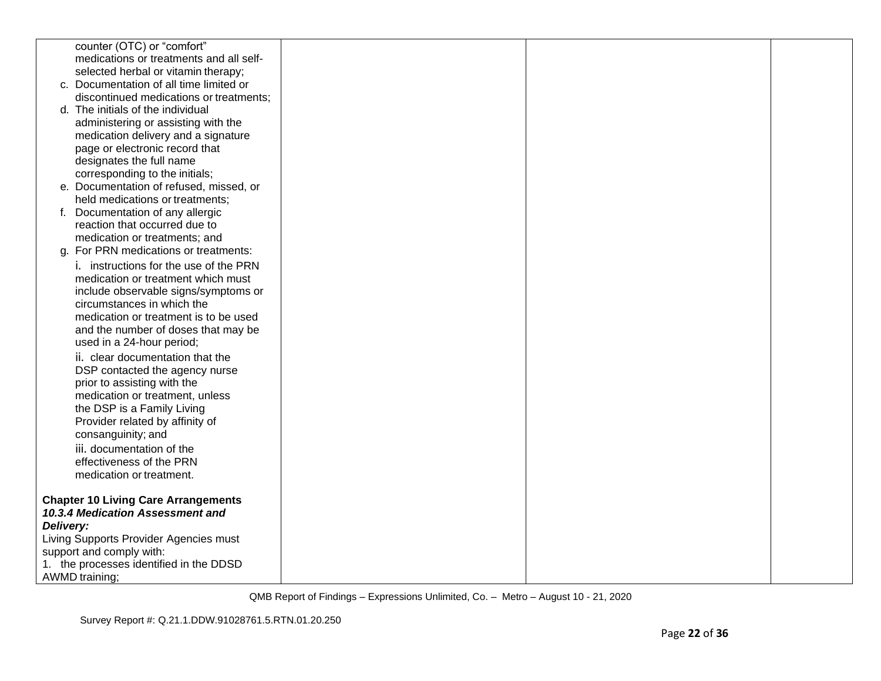|           | counter (OTC) or "comfort"                 |  |  |
|-----------|--------------------------------------------|--|--|
|           | medications or treatments and all self-    |  |  |
|           | selected herbal or vitamin therapy;        |  |  |
|           | c. Documentation of all time limited or    |  |  |
|           | discontinued medications or treatments;    |  |  |
|           | d. The initials of the individual          |  |  |
|           | administering or assisting with the        |  |  |
|           | medication delivery and a signature        |  |  |
|           | page or electronic record that             |  |  |
|           | designates the full name                   |  |  |
|           | corresponding to the initials;             |  |  |
|           | e. Documentation of refused, missed, or    |  |  |
|           | held medications or treatments;            |  |  |
|           | f. Documentation of any allergic           |  |  |
|           | reaction that occurred due to              |  |  |
|           | medication or treatments; and              |  |  |
|           | g. For PRN medications or treatments:      |  |  |
|           | i. instructions for the use of the PRN     |  |  |
|           | medication or treatment which must         |  |  |
|           | include observable signs/symptoms or       |  |  |
|           | circumstances in which the                 |  |  |
|           | medication or treatment is to be used      |  |  |
|           | and the number of doses that may be        |  |  |
|           | used in a 24-hour period;                  |  |  |
|           | ii. clear documentation that the           |  |  |
|           | DSP contacted the agency nurse             |  |  |
|           | prior to assisting with the                |  |  |
|           | medication or treatment, unless            |  |  |
|           | the DSP is a Family Living                 |  |  |
|           | Provider related by affinity of            |  |  |
|           | consanguinity; and                         |  |  |
|           | iii. documentation of the                  |  |  |
|           | effectiveness of the PRN                   |  |  |
|           | medication or treatment.                   |  |  |
|           |                                            |  |  |
|           | <b>Chapter 10 Living Care Arrangements</b> |  |  |
|           | 10.3.4 Medication Assessment and           |  |  |
| Delivery: |                                            |  |  |
|           | Living Supports Provider Agencies must     |  |  |
|           | support and comply with:                   |  |  |
|           | 1. the processes identified in the DDSD    |  |  |
|           | <b>AWMD</b> training;                      |  |  |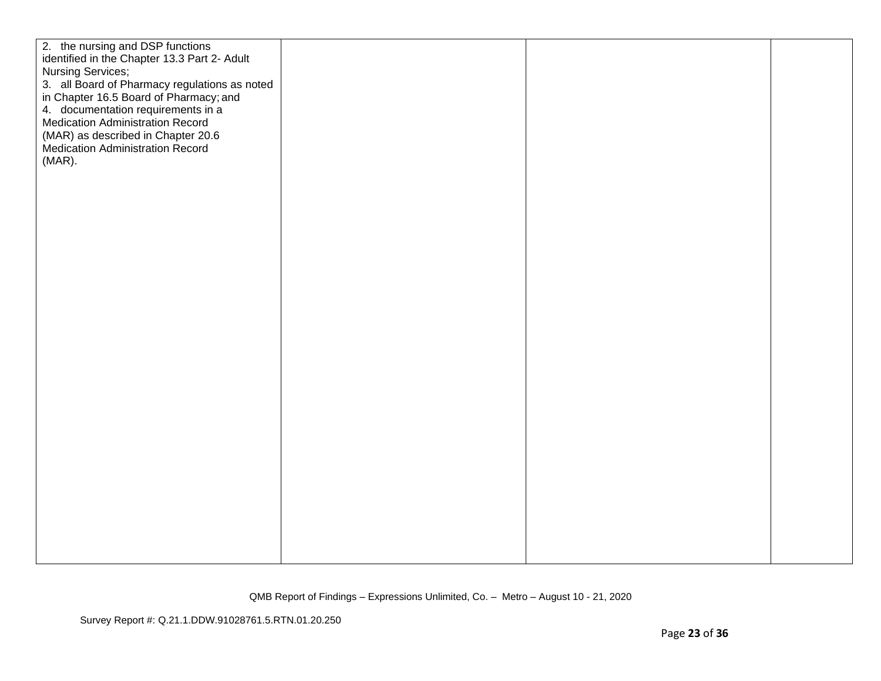| 2. the nursing and DSP functions<br>identified in the Chapter 13.3 Part 2- Adult<br>Nursing Services;<br>3. all Board of Pharmacy regulations as noted<br>in Chapter 16.5 Board of Pharmacy; and<br>4. documentation requirements in a<br><b>Medication Administration Record</b><br>(MAR) as described in Chapter 20.6<br>Medication Administration Record<br>$(MAR)$ . |  |
|--------------------------------------------------------------------------------------------------------------------------------------------------------------------------------------------------------------------------------------------------------------------------------------------------------------------------------------------------------------------------|--|
|                                                                                                                                                                                                                                                                                                                                                                          |  |
|                                                                                                                                                                                                                                                                                                                                                                          |  |
|                                                                                                                                                                                                                                                                                                                                                                          |  |
|                                                                                                                                                                                                                                                                                                                                                                          |  |
|                                                                                                                                                                                                                                                                                                                                                                          |  |
|                                                                                                                                                                                                                                                                                                                                                                          |  |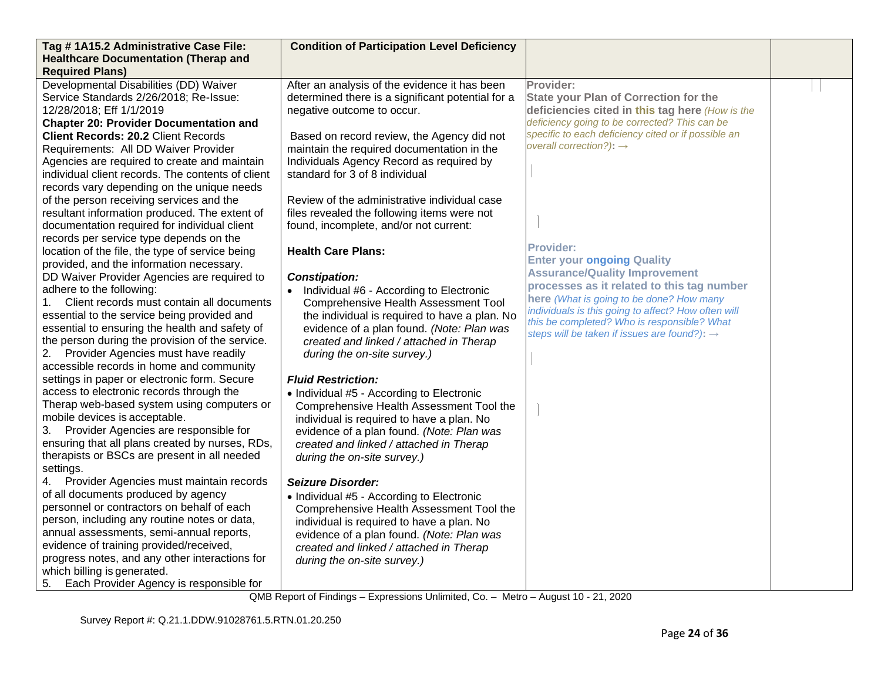| Tag #1A15.2 Administrative Case File:<br><b>Healthcare Documentation (Therap and</b>                                                                                                                                                                                                                                                                                                                                                                                                                                                                                                                                                                                                                                                                                                                                                                                                                                                                                                                                                                                                      | <b>Condition of Participation Level Deficiency</b>                                                                                                                                                                                                                                                                                                                                                                                                                                                                                                                                                                                                                                                                                                                                      |                                                                                                                                                                                                                                                                                                                                                                                                                                                                                                                                                                                                                          |  |
|-------------------------------------------------------------------------------------------------------------------------------------------------------------------------------------------------------------------------------------------------------------------------------------------------------------------------------------------------------------------------------------------------------------------------------------------------------------------------------------------------------------------------------------------------------------------------------------------------------------------------------------------------------------------------------------------------------------------------------------------------------------------------------------------------------------------------------------------------------------------------------------------------------------------------------------------------------------------------------------------------------------------------------------------------------------------------------------------|-----------------------------------------------------------------------------------------------------------------------------------------------------------------------------------------------------------------------------------------------------------------------------------------------------------------------------------------------------------------------------------------------------------------------------------------------------------------------------------------------------------------------------------------------------------------------------------------------------------------------------------------------------------------------------------------------------------------------------------------------------------------------------------------|--------------------------------------------------------------------------------------------------------------------------------------------------------------------------------------------------------------------------------------------------------------------------------------------------------------------------------------------------------------------------------------------------------------------------------------------------------------------------------------------------------------------------------------------------------------------------------------------------------------------------|--|
|                                                                                                                                                                                                                                                                                                                                                                                                                                                                                                                                                                                                                                                                                                                                                                                                                                                                                                                                                                                                                                                                                           |                                                                                                                                                                                                                                                                                                                                                                                                                                                                                                                                                                                                                                                                                                                                                                                         |                                                                                                                                                                                                                                                                                                                                                                                                                                                                                                                                                                                                                          |  |
| <b>Required Plans)</b><br>Developmental Disabilities (DD) Waiver<br>Service Standards 2/26/2018; Re-Issue:<br>12/28/2018; Eff 1/1/2019<br><b>Chapter 20: Provider Documentation and</b><br><b>Client Records: 20.2 Client Records</b><br>Requirements: All DD Waiver Provider<br>Agencies are required to create and maintain<br>individual client records. The contents of client<br>records vary depending on the unique needs<br>of the person receiving services and the<br>resultant information produced. The extent of<br>documentation required for individual client<br>records per service type depends on the<br>location of the file, the type of service being<br>provided, and the information necessary.<br>DD Waiver Provider Agencies are required to<br>adhere to the following:<br>Client records must contain all documents<br>essential to the service being provided and<br>essential to ensuring the health and safety of<br>the person during the provision of the service.<br>2. Provider Agencies must have readily<br>accessible records in home and community | After an analysis of the evidence it has been<br>determined there is a significant potential for a<br>negative outcome to occur.<br>Based on record review, the Agency did not<br>maintain the required documentation in the<br>Individuals Agency Record as required by<br>standard for 3 of 8 individual<br>Review of the administrative individual case<br>files revealed the following items were not<br>found, incomplete, and/or not current:<br><b>Health Care Plans:</b><br><b>Constipation:</b><br>Individual #6 - According to Electronic<br>$\bullet$<br><b>Comprehensive Health Assessment Tool</b><br>the individual is required to have a plan. No<br>evidence of a plan found. (Note: Plan was<br>created and linked / attached in Therap<br>during the on-site survey.) | Provider:<br><b>State your Plan of Correction for the</b><br>deficiencies cited in this tag here (How is the<br>deficiency going to be corrected? This can be<br>specific to each deficiency cited or if possible an<br>overall correction?): $\rightarrow$<br><b>Provider:</b><br><b>Enter your ongoing Quality</b><br><b>Assurance/Quality Improvement</b><br>processes as it related to this tag number<br>here (What is going to be done? How many<br>individuals is this going to affect? How often will<br>this be completed? Who is responsible? What<br>steps will be taken if issues are found?): $\rightarrow$ |  |
| settings in paper or electronic form. Secure<br>access to electronic records through the<br>Therap web-based system using computers or<br>mobile devices is acceptable.<br>3. Provider Agencies are responsible for<br>ensuring that all plans created by nurses, RDs,<br>therapists or BSCs are present in all needed<br>settings.<br>4. Provider Agencies must maintain records<br>of all documents produced by agency<br>personnel or contractors on behalf of each<br>person, including any routine notes or data,<br>annual assessments, semi-annual reports,<br>evidence of training provided/received,<br>progress notes, and any other interactions for<br>which billing is generated.<br>5. Each Provider Agency is responsible for                                                                                                                                                                                                                                                                                                                                              | <b>Fluid Restriction:</b><br>• Individual #5 - According to Electronic<br>Comprehensive Health Assessment Tool the<br>individual is required to have a plan. No<br>evidence of a plan found. (Note: Plan was<br>created and linked / attached in Therap<br>during the on-site survey.)<br><b>Seizure Disorder:</b><br>• Individual #5 - According to Electronic<br>Comprehensive Health Assessment Tool the<br>individual is required to have a plan. No<br>evidence of a plan found. (Note: Plan was<br>created and linked / attached in Therap<br>during the on-site survey.)                                                                                                                                                                                                         |                                                                                                                                                                                                                                                                                                                                                                                                                                                                                                                                                                                                                          |  |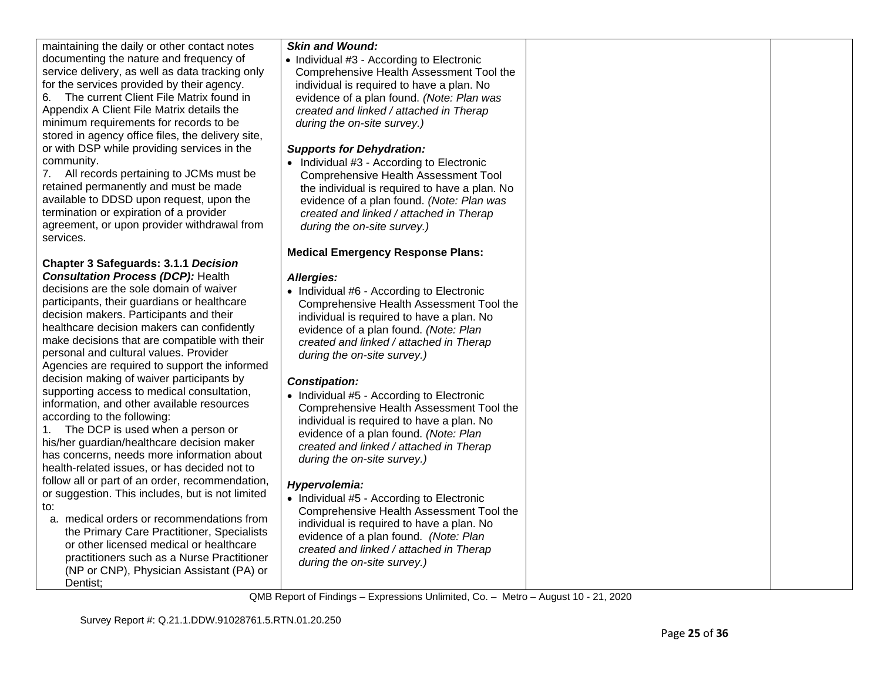| maintaining the daily or other contact notes<br>documenting the nature and frequency of<br>service delivery, as well as data tracking only<br>for the services provided by their agency.<br>The current Client File Matrix found in<br>6.<br>Appendix A Client File Matrix details the<br>minimum requirements for records to be<br>stored in agency office files, the delivery site,<br>or with DSP while providing services in the<br>community.<br>7. All records pertaining to JCMs must be<br>retained permanently and must be made<br>available to DDSD upon request, upon the<br>termination or expiration of a provider<br>agreement, or upon provider withdrawal from<br>services. | <b>Skin and Wound:</b><br>• Individual #3 - According to Electronic<br>Comprehensive Health Assessment Tool the<br>individual is required to have a plan. No<br>evidence of a plan found. (Note: Plan was<br>created and linked / attached in Therap<br>during the on-site survey.)<br><b>Supports for Dehydration:</b><br>• Individual #3 - According to Electronic<br><b>Comprehensive Health Assessment Tool</b><br>the individual is required to have a plan. No<br>evidence of a plan found. (Note: Plan was<br>created and linked / attached in Therap<br>during the on-site survey.)<br><b>Medical Emergency Response Plans:</b> |  |
|---------------------------------------------------------------------------------------------------------------------------------------------------------------------------------------------------------------------------------------------------------------------------------------------------------------------------------------------------------------------------------------------------------------------------------------------------------------------------------------------------------------------------------------------------------------------------------------------------------------------------------------------------------------------------------------------|-----------------------------------------------------------------------------------------------------------------------------------------------------------------------------------------------------------------------------------------------------------------------------------------------------------------------------------------------------------------------------------------------------------------------------------------------------------------------------------------------------------------------------------------------------------------------------------------------------------------------------------------|--|
| <b>Chapter 3 Safeguards: 3.1.1 Decision</b>                                                                                                                                                                                                                                                                                                                                                                                                                                                                                                                                                                                                                                                 |                                                                                                                                                                                                                                                                                                                                                                                                                                                                                                                                                                                                                                         |  |
| <b>Consultation Process (DCP): Health</b>                                                                                                                                                                                                                                                                                                                                                                                                                                                                                                                                                                                                                                                   | Allergies:                                                                                                                                                                                                                                                                                                                                                                                                                                                                                                                                                                                                                              |  |
| decisions are the sole domain of waiver<br>participants, their guardians or healthcare<br>decision makers. Participants and their<br>healthcare decision makers can confidently<br>make decisions that are compatible with their<br>personal and cultural values. Provider<br>Agencies are required to support the informed                                                                                                                                                                                                                                                                                                                                                                 | • Individual #6 - According to Electronic<br>Comprehensive Health Assessment Tool the<br>individual is required to have a plan. No<br>evidence of a plan found. (Note: Plan<br>created and linked / attached in Therap<br>during the on-site survey.)                                                                                                                                                                                                                                                                                                                                                                                   |  |
| decision making of waiver participants by                                                                                                                                                                                                                                                                                                                                                                                                                                                                                                                                                                                                                                                   | <b>Constipation:</b>                                                                                                                                                                                                                                                                                                                                                                                                                                                                                                                                                                                                                    |  |
| supporting access to medical consultation,<br>information, and other available resources<br>according to the following:<br>The DCP is used when a person or<br>his/her guardian/healthcare decision maker<br>has concerns, needs more information about<br>health-related issues, or has decided not to                                                                                                                                                                                                                                                                                                                                                                                     | • Individual #5 - According to Electronic<br>Comprehensive Health Assessment Tool the<br>individual is required to have a plan. No<br>evidence of a plan found. (Note: Plan<br>created and linked / attached in Therap<br>during the on-site survey.)                                                                                                                                                                                                                                                                                                                                                                                   |  |
| follow all or part of an order, recommendation,<br>or suggestion. This includes, but is not limited<br>to:<br>a. medical orders or recommendations from<br>the Primary Care Practitioner, Specialists<br>or other licensed medical or healthcare<br>practitioners such as a Nurse Practitioner<br>(NP or CNP), Physician Assistant (PA) or                                                                                                                                                                                                                                                                                                                                                  | Hypervolemia:<br>• Individual #5 - According to Electronic<br>Comprehensive Health Assessment Tool the<br>individual is required to have a plan. No<br>evidence of a plan found. (Note: Plan<br>created and linked / attached in Therap<br>during the on-site survey.)                                                                                                                                                                                                                                                                                                                                                                  |  |
| Dentist;                                                                                                                                                                                                                                                                                                                                                                                                                                                                                                                                                                                                                                                                                    |                                                                                                                                                                                                                                                                                                                                                                                                                                                                                                                                                                                                                                         |  |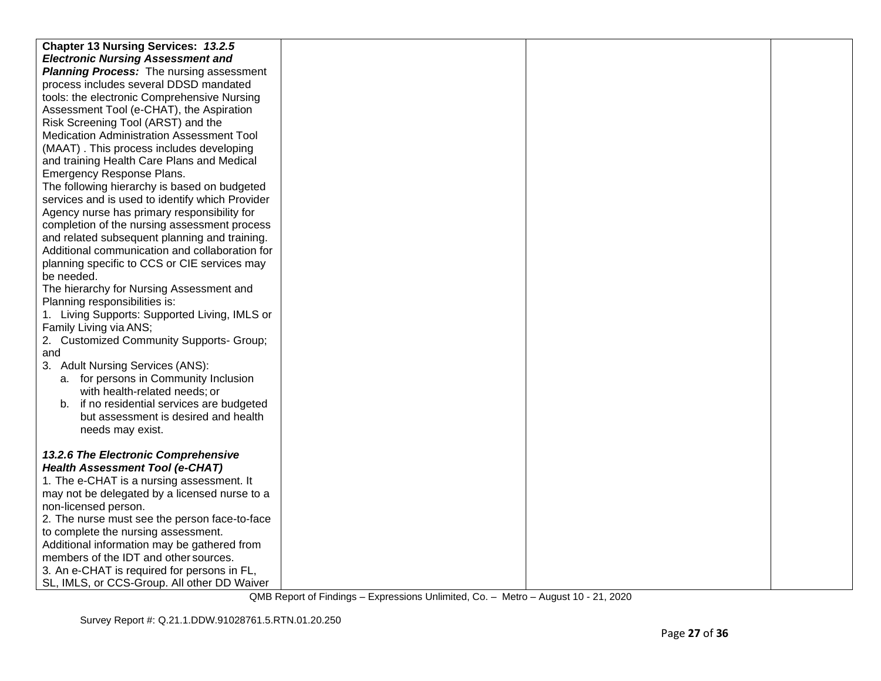| Chapter 13 Nursing Services: 13.2.5                                    |  |  |
|------------------------------------------------------------------------|--|--|
| <b>Electronic Nursing Assessment and</b>                               |  |  |
| <b>Planning Process:</b> The nursing assessment                        |  |  |
| process includes several DDSD mandated                                 |  |  |
| tools: the electronic Comprehensive Nursing                            |  |  |
| Assessment Tool (e-CHAT), the Aspiration                               |  |  |
| Risk Screening Tool (ARST) and the                                     |  |  |
| Medication Administration Assessment Tool                              |  |  |
| (MAAT). This process includes developing                               |  |  |
| and training Health Care Plans and Medical                             |  |  |
| Emergency Response Plans.                                              |  |  |
| The following hierarchy is based on budgeted                           |  |  |
| services and is used to identify which Provider                        |  |  |
| Agency nurse has primary responsibility for                            |  |  |
| completion of the nursing assessment process                           |  |  |
| and related subsequent planning and training.                          |  |  |
| Additional communication and collaboration for                         |  |  |
| planning specific to CCS or CIE services may                           |  |  |
| be needed.                                                             |  |  |
| The hierarchy for Nursing Assessment and                               |  |  |
| Planning responsibilities is:                                          |  |  |
| 1. Living Supports: Supported Living, IMLS or                          |  |  |
| Family Living via ANS;                                                 |  |  |
| 2. Customized Community Supports- Group;                               |  |  |
| and                                                                    |  |  |
| 3. Adult Nursing Services (ANS):                                       |  |  |
| a. for persons in Community Inclusion<br>with health-related needs; or |  |  |
| b. if no residential services are budgeted                             |  |  |
| but assessment is desired and health                                   |  |  |
| needs may exist.                                                       |  |  |
|                                                                        |  |  |
| 13.2.6 The Electronic Comprehensive                                    |  |  |
| <b>Health Assessment Tool (e-CHAT)</b>                                 |  |  |
| 1. The e-CHAT is a nursing assessment. It                              |  |  |
| may not be delegated by a licensed nurse to a                          |  |  |
| non-licensed person.                                                   |  |  |
| 2. The nurse must see the person face-to-face                          |  |  |
| to complete the nursing assessment.                                    |  |  |
| Additional information may be gathered from                            |  |  |
| members of the IDT and other sources.                                  |  |  |
| 3. An e-CHAT is required for persons in FL,                            |  |  |
| SL, IMLS, or CCS-Group. All other DD Waiver                            |  |  |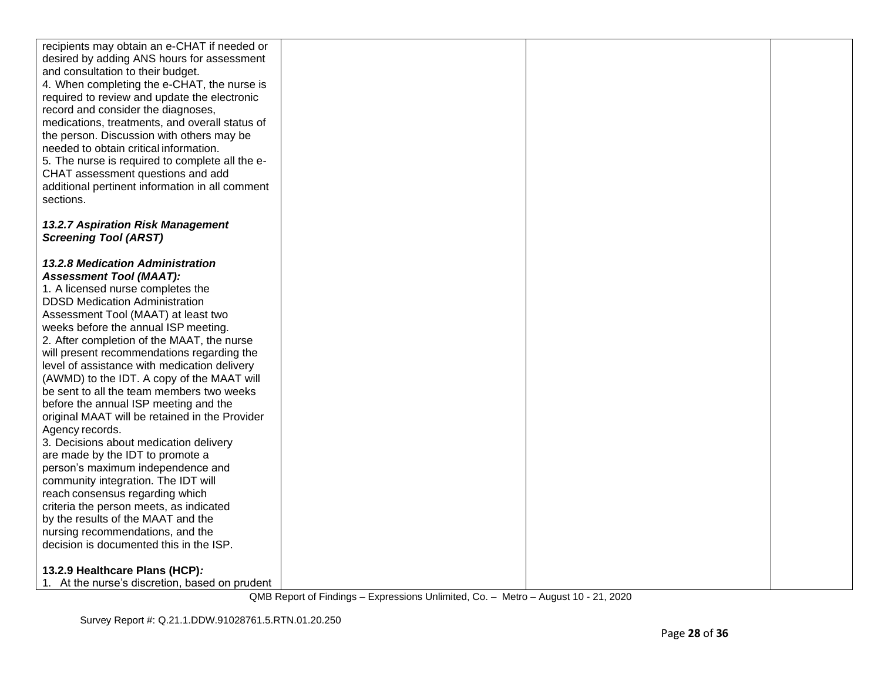| recipients may obtain an e-CHAT if needed or                                               |  |  |
|--------------------------------------------------------------------------------------------|--|--|
| desired by adding ANS hours for assessment                                                 |  |  |
| and consultation to their budget.                                                          |  |  |
| 4. When completing the e-CHAT, the nurse is                                                |  |  |
| required to review and update the electronic                                               |  |  |
| record and consider the diagnoses,                                                         |  |  |
| medications, treatments, and overall status of                                             |  |  |
| the person. Discussion with others may be<br>needed to obtain critical information.        |  |  |
| 5. The nurse is required to complete all the e-                                            |  |  |
| CHAT assessment questions and add                                                          |  |  |
| additional pertinent information in all comment                                            |  |  |
| sections.                                                                                  |  |  |
|                                                                                            |  |  |
| 13.2.7 Aspiration Risk Management                                                          |  |  |
| <b>Screening Tool (ARST)</b>                                                               |  |  |
|                                                                                            |  |  |
| 13.2.8 Medication Administration                                                           |  |  |
| <b>Assessment Tool (MAAT):</b>                                                             |  |  |
| 1. A licensed nurse completes the                                                          |  |  |
| <b>DDSD Medication Administration</b>                                                      |  |  |
| Assessment Tool (MAAT) at least two                                                        |  |  |
| weeks before the annual ISP meeting.                                                       |  |  |
| 2. After completion of the MAAT, the nurse                                                 |  |  |
| will present recommendations regarding the                                                 |  |  |
| level of assistance with medication delivery<br>(AWMD) to the IDT. A copy of the MAAT will |  |  |
| be sent to all the team members two weeks                                                  |  |  |
| before the annual ISP meeting and the                                                      |  |  |
| original MAAT will be retained in the Provider                                             |  |  |
| Agency records.                                                                            |  |  |
| 3. Decisions about medication delivery                                                     |  |  |
| are made by the IDT to promote a                                                           |  |  |
| person's maximum independence and                                                          |  |  |
| community integration. The IDT will                                                        |  |  |
| reach consensus regarding which                                                            |  |  |
| criteria the person meets, as indicated                                                    |  |  |
| by the results of the MAAT and the                                                         |  |  |
| nursing recommendations, and the                                                           |  |  |
| decision is documented this in the ISP.                                                    |  |  |
| 13.2.9 Healthcare Plans (HCP):                                                             |  |  |
| 1. At the nurse's discretion, based on prudent                                             |  |  |
|                                                                                            |  |  |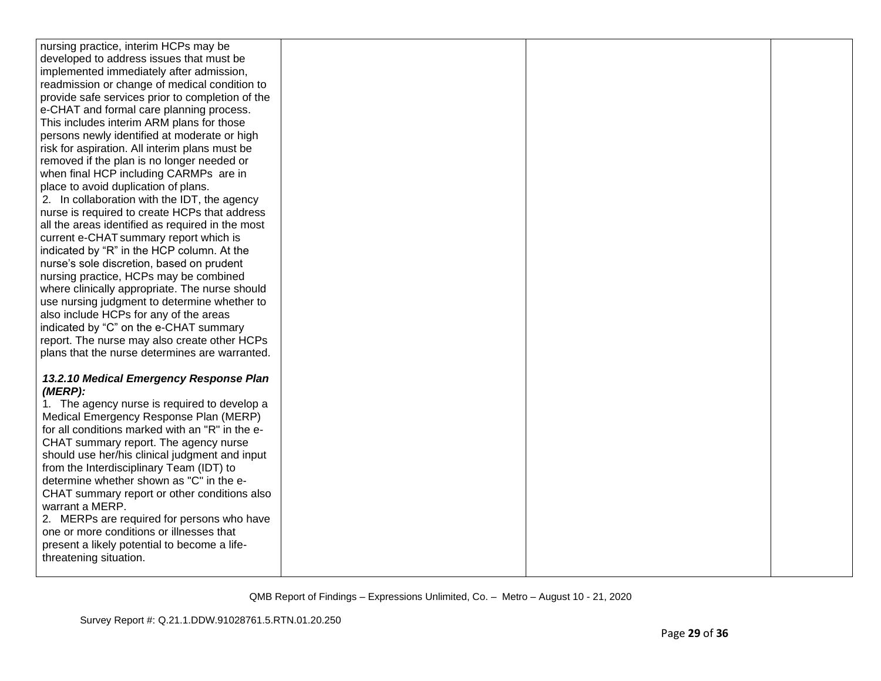| nursing practice, interim HCPs may be            |  |  |
|--------------------------------------------------|--|--|
| developed to address issues that must be         |  |  |
| implemented immediately after admission,         |  |  |
| readmission or change of medical condition to    |  |  |
| provide safe services prior to completion of the |  |  |
| e-CHAT and formal care planning process.         |  |  |
| This includes interim ARM plans for those        |  |  |
| persons newly identified at moderate or high     |  |  |
| risk for aspiration. All interim plans must be   |  |  |
| removed if the plan is no longer needed or       |  |  |
| when final HCP including CARMPs are in           |  |  |
| place to avoid duplication of plans.             |  |  |
| 2. In collaboration with the IDT, the agency     |  |  |
| nurse is required to create HCPs that address    |  |  |
| all the areas identified as required in the most |  |  |
| current e-CHAT summary report which is           |  |  |
| indicated by "R" in the HCP column. At the       |  |  |
| nurse's sole discretion, based on prudent        |  |  |
| nursing practice, HCPs may be combined           |  |  |
| where clinically appropriate. The nurse should   |  |  |
| use nursing judgment to determine whether to     |  |  |
| also include HCPs for any of the areas           |  |  |
| indicated by "C" on the e-CHAT summary           |  |  |
| report. The nurse may also create other HCPs     |  |  |
| plans that the nurse determines are warranted.   |  |  |
|                                                  |  |  |
| 13.2.10 Medical Emergency Response Plan          |  |  |
| (MERP):                                          |  |  |
| 1. The agency nurse is required to develop a     |  |  |
| Medical Emergency Response Plan (MERP)           |  |  |
| for all conditions marked with an "R" in the e-  |  |  |
| CHAT summary report. The agency nurse            |  |  |
| should use her/his clinical judgment and input   |  |  |
| from the Interdisciplinary Team (IDT) to         |  |  |
| determine whether shown as "C" in the e-         |  |  |
| CHAT summary report or other conditions also     |  |  |
| warrant a MERP.                                  |  |  |
| 2. MERPs are required for persons who have       |  |  |
| one or more conditions or illnesses that         |  |  |
| present a likely potential to become a life-     |  |  |
| threatening situation.                           |  |  |
|                                                  |  |  |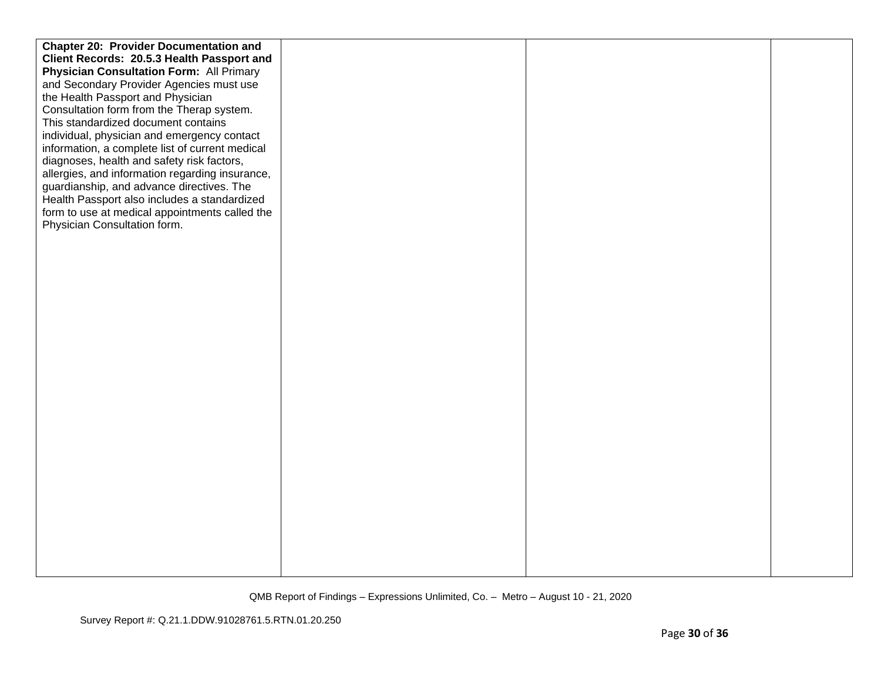| <b>Chapter 20: Provider Documentation and</b>   |  |  |
|-------------------------------------------------|--|--|
| Client Records: 20.5.3 Health Passport and      |  |  |
| <b>Physician Consultation Form: All Primary</b> |  |  |
| and Secondary Provider Agencies must use        |  |  |
| the Health Passport and Physician               |  |  |
| Consultation form from the Therap system.       |  |  |
| This standardized document contains             |  |  |
| individual, physician and emergency contact     |  |  |
| information, a complete list of current medical |  |  |
| diagnoses, health and safety risk factors,      |  |  |
| allergies, and information regarding insurance, |  |  |
| guardianship, and advance directives. The       |  |  |
| Health Passport also includes a standardized    |  |  |
| form to use at medical appointments called the  |  |  |
| Physician Consultation form.                    |  |  |
|                                                 |  |  |
|                                                 |  |  |
|                                                 |  |  |
|                                                 |  |  |
|                                                 |  |  |
|                                                 |  |  |
|                                                 |  |  |
|                                                 |  |  |
|                                                 |  |  |
|                                                 |  |  |
|                                                 |  |  |
|                                                 |  |  |
|                                                 |  |  |
|                                                 |  |  |
|                                                 |  |  |
|                                                 |  |  |
|                                                 |  |  |
|                                                 |  |  |
|                                                 |  |  |
|                                                 |  |  |
|                                                 |  |  |
|                                                 |  |  |
|                                                 |  |  |
|                                                 |  |  |
|                                                 |  |  |
|                                                 |  |  |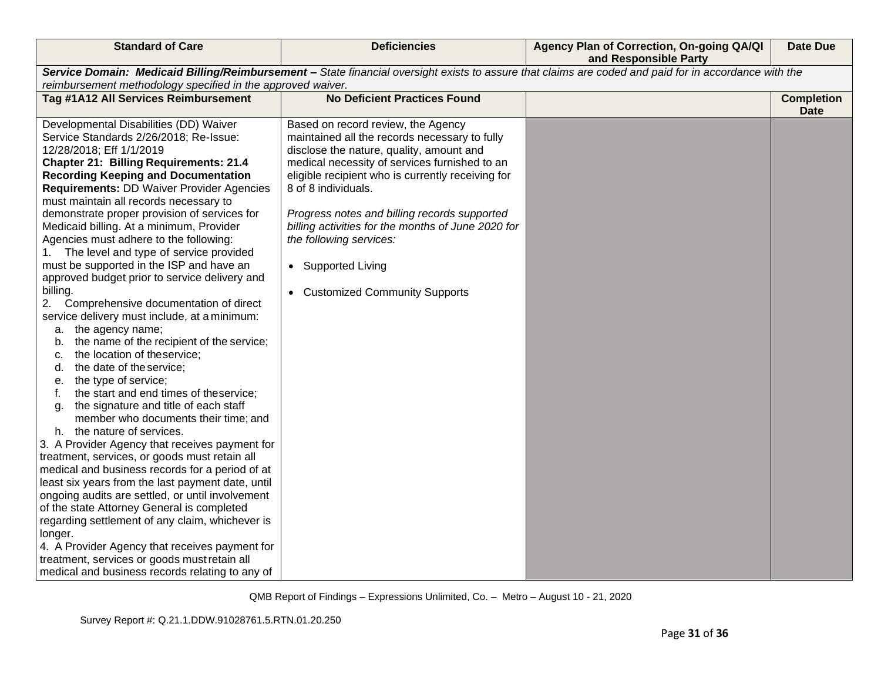| <b>Standard of Care</b>                                                                                                                                                                                                                                                                                                                                                                                                                                                                                                                                                                                                                                                                                                                                                                                                                                                                                                                                                                                                                                                                                                                                                                                                                                                                                                                                                                                                                                                                                                                                                            | <b>Deficiencies</b>                                                                                                                                                                                                                                                                                                                                                                                                                                    | Agency Plan of Correction, On-going QA/QI<br>and Responsible Party | <b>Date Due</b>                  |
|------------------------------------------------------------------------------------------------------------------------------------------------------------------------------------------------------------------------------------------------------------------------------------------------------------------------------------------------------------------------------------------------------------------------------------------------------------------------------------------------------------------------------------------------------------------------------------------------------------------------------------------------------------------------------------------------------------------------------------------------------------------------------------------------------------------------------------------------------------------------------------------------------------------------------------------------------------------------------------------------------------------------------------------------------------------------------------------------------------------------------------------------------------------------------------------------------------------------------------------------------------------------------------------------------------------------------------------------------------------------------------------------------------------------------------------------------------------------------------------------------------------------------------------------------------------------------------|--------------------------------------------------------------------------------------------------------------------------------------------------------------------------------------------------------------------------------------------------------------------------------------------------------------------------------------------------------------------------------------------------------------------------------------------------------|--------------------------------------------------------------------|----------------------------------|
| Service Domain: Medicaid Billing/Reimbursement - State financial oversight exists to assure that claims are coded and paid for in accordance with the<br>reimbursement methodology specified in the approved waiver.                                                                                                                                                                                                                                                                                                                                                                                                                                                                                                                                                                                                                                                                                                                                                                                                                                                                                                                                                                                                                                                                                                                                                                                                                                                                                                                                                               |                                                                                                                                                                                                                                                                                                                                                                                                                                                        |                                                                    |                                  |
| Tag #1A12 All Services Reimbursement                                                                                                                                                                                                                                                                                                                                                                                                                                                                                                                                                                                                                                                                                                                                                                                                                                                                                                                                                                                                                                                                                                                                                                                                                                                                                                                                                                                                                                                                                                                                               | <b>No Deficient Practices Found</b>                                                                                                                                                                                                                                                                                                                                                                                                                    |                                                                    | <b>Completion</b><br><b>Date</b> |
| Developmental Disabilities (DD) Waiver<br>Service Standards 2/26/2018; Re-Issue:<br>12/28/2018; Eff 1/1/2019<br><b>Chapter 21: Billing Requirements: 21.4</b><br><b>Recording Keeping and Documentation</b><br><b>Requirements: DD Waiver Provider Agencies</b><br>must maintain all records necessary to<br>demonstrate proper provision of services for<br>Medicaid billing. At a minimum, Provider<br>Agencies must adhere to the following:<br>1. The level and type of service provided<br>must be supported in the ISP and have an<br>approved budget prior to service delivery and<br>billing.<br>Comprehensive documentation of direct<br>2.<br>service delivery must include, at a minimum:<br>a. the agency name;<br>the name of the recipient of the service;<br>b.<br>the location of theservice;<br>c.<br>the date of the service;<br>d.<br>the type of service;<br>е.<br>the start and end times of theservice;<br>the signature and title of each staff<br>g.<br>member who documents their time; and<br>h. the nature of services.<br>3. A Provider Agency that receives payment for<br>treatment, services, or goods must retain all<br>medical and business records for a period of at<br>least six years from the last payment date, until<br>ongoing audits are settled, or until involvement<br>of the state Attorney General is completed<br>regarding settlement of any claim, whichever is<br>longer.<br>4. A Provider Agency that receives payment for<br>treatment, services or goods must retain all<br>medical and business records relating to any of | Based on record review, the Agency<br>maintained all the records necessary to fully<br>disclose the nature, quality, amount and<br>medical necessity of services furnished to an<br>eligible recipient who is currently receiving for<br>8 of 8 individuals.<br>Progress notes and billing records supported<br>billing activities for the months of June 2020 for<br>the following services:<br>• Supported Living<br>• Customized Community Supports |                                                                    |                                  |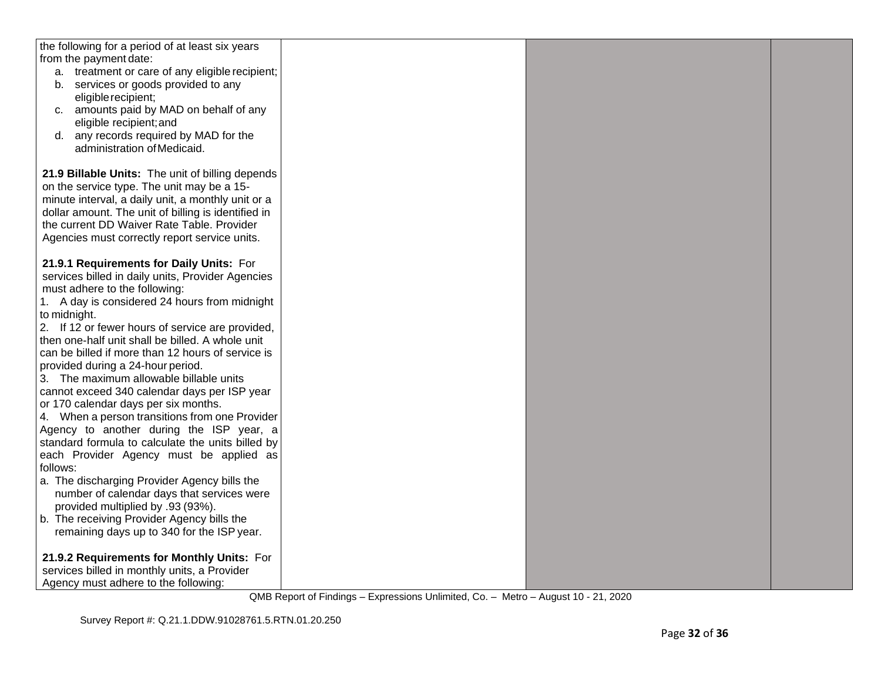| the following for a period of at least six years                 |  |  |
|------------------------------------------------------------------|--|--|
| from the payment date:                                           |  |  |
| a. treatment or care of any eligible recipient;                  |  |  |
| services or goods provided to any<br>b.                          |  |  |
| eligible recipient;                                              |  |  |
| c. amounts paid by MAD on behalf of any                          |  |  |
| eligible recipient; and                                          |  |  |
| any records required by MAD for the<br>d.                        |  |  |
| administration of Medicaid.                                      |  |  |
|                                                                  |  |  |
| 21.9 Billable Units: The unit of billing depends                 |  |  |
| on the service type. The unit may be a 15-                       |  |  |
| minute interval, a daily unit, a monthly unit or a               |  |  |
| dollar amount. The unit of billing is identified in              |  |  |
| the current DD Waiver Rate Table. Provider                       |  |  |
| Agencies must correctly report service units.                    |  |  |
|                                                                  |  |  |
| 21.9.1 Requirements for Daily Units: For                         |  |  |
| services billed in daily units, Provider Agencies                |  |  |
| must adhere to the following:                                    |  |  |
| 1. A day is considered 24 hours from midnight                    |  |  |
| to midnight.<br>2. If 12 or fewer hours of service are provided, |  |  |
| then one-half unit shall be billed. A whole unit                 |  |  |
| can be billed if more than 12 hours of service is                |  |  |
| provided during a 24-hour period.                                |  |  |
| 3. The maximum allowable billable units                          |  |  |
| cannot exceed 340 calendar days per ISP year                     |  |  |
| or 170 calendar days per six months.                             |  |  |
| 4. When a person transitions from one Provider                   |  |  |
| Agency to another during the ISP year, a                         |  |  |
| standard formula to calculate the units billed by                |  |  |
| each Provider Agency must be applied as                          |  |  |
| follows:                                                         |  |  |
| a. The discharging Provider Agency bills the                     |  |  |
| number of calendar days that services were                       |  |  |
| provided multiplied by .93 (93%).                                |  |  |
| b. The receiving Provider Agency bills the                       |  |  |
| remaining days up to 340 for the ISP year.                       |  |  |
| 21.9.2 Requirements for Monthly Units: For                       |  |  |
| services billed in monthly units, a Provider                     |  |  |
| Agency must adhere to the following:                             |  |  |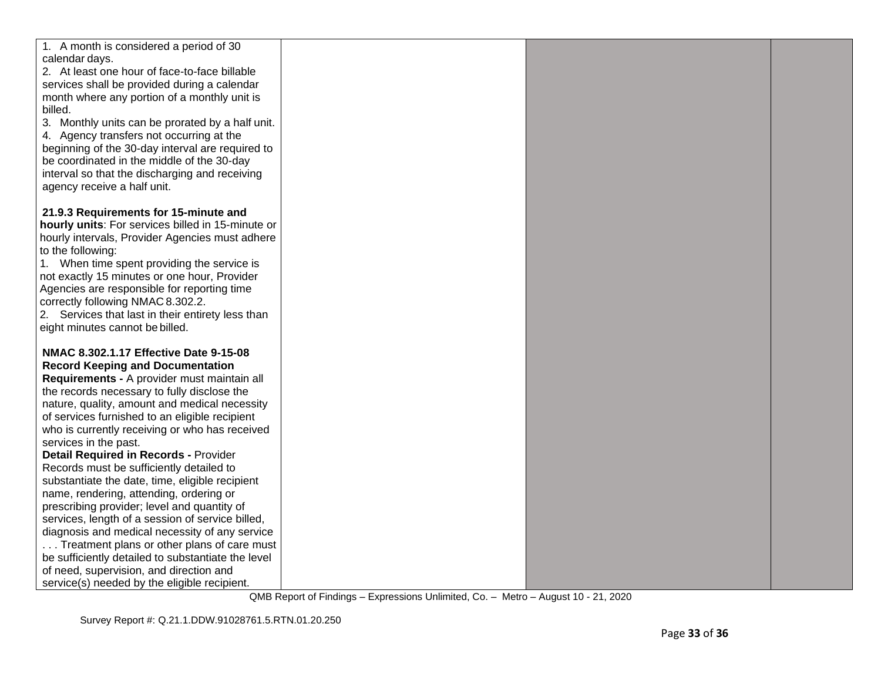| 1. A month is considered a period of 30            |  |  |
|----------------------------------------------------|--|--|
| calendar days.                                     |  |  |
| 2. At least one hour of face-to-face billable      |  |  |
| services shall be provided during a calendar       |  |  |
| month where any portion of a monthly unit is       |  |  |
| billed.                                            |  |  |
| 3. Monthly units can be prorated by a half unit.   |  |  |
| 4. Agency transfers not occurring at the           |  |  |
| beginning of the 30-day interval are required to   |  |  |
| be coordinated in the middle of the 30-day         |  |  |
| interval so that the discharging and receiving     |  |  |
| agency receive a half unit.                        |  |  |
| 21.9.3 Requirements for 15-minute and              |  |  |
| hourly units: For services billed in 15-minute or  |  |  |
| hourly intervals, Provider Agencies must adhere    |  |  |
| to the following:                                  |  |  |
| 1. When time spent providing the service is        |  |  |
| not exactly 15 minutes or one hour, Provider       |  |  |
| Agencies are responsible for reporting time        |  |  |
| correctly following NMAC 8.302.2.                  |  |  |
| 2. Services that last in their entirety less than  |  |  |
| eight minutes cannot be billed.                    |  |  |
|                                                    |  |  |
| NMAC 8.302.1.17 Effective Date 9-15-08             |  |  |
| <b>Record Keeping and Documentation</b>            |  |  |
| Requirements - A provider must maintain all        |  |  |
| the records necessary to fully disclose the        |  |  |
| nature, quality, amount and medical necessity      |  |  |
| of services furnished to an eligible recipient     |  |  |
| who is currently receiving or who has received     |  |  |
| services in the past.                              |  |  |
| <b>Detail Required in Records - Provider</b>       |  |  |
| Records must be sufficiently detailed to           |  |  |
| substantiate the date, time, eligible recipient    |  |  |
| name, rendering, attending, ordering or            |  |  |
| prescribing provider; level and quantity of        |  |  |
| services, length of a session of service billed,   |  |  |
| diagnosis and medical necessity of any service     |  |  |
| Treatment plans or other plans of care must        |  |  |
| be sufficiently detailed to substantiate the level |  |  |
| of need, supervision, and direction and            |  |  |
| service(s) needed by the eligible recipient.       |  |  |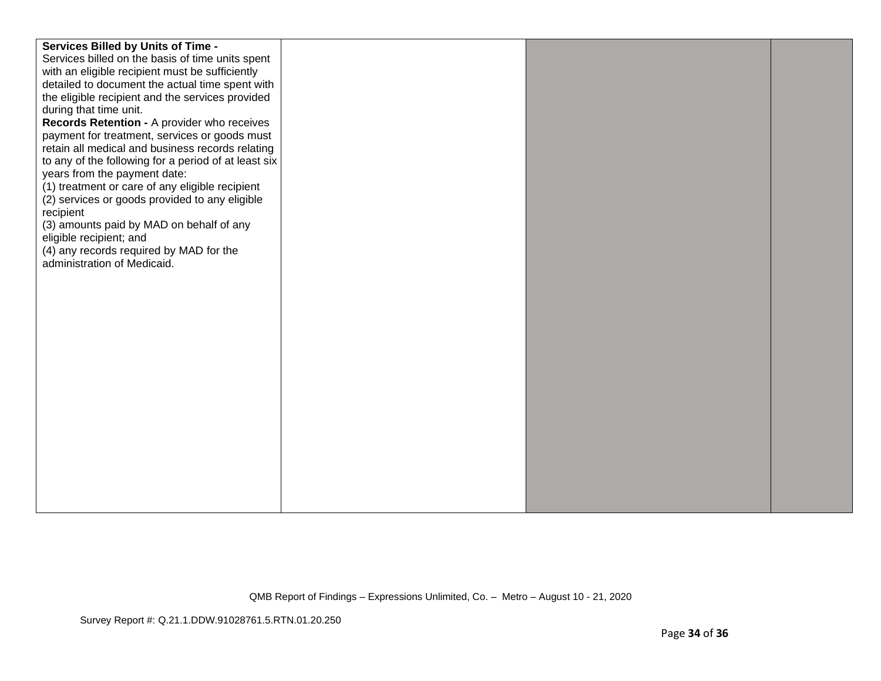| <b>Services Billed by Units of Time -</b><br>Services billed on the basis of time units spent<br>with an eligible recipient must be sufficiently<br>detailed to document the actual time spent with<br>the eligible recipient and the services provided<br>during that time unit.<br>Records Retention - A provider who receives<br>payment for treatment, services or goods must<br>retain all medical and business records relating<br>to any of the following for a period of at least six<br>years from the payment date:<br>(1) treatment or care of any eligible recipient<br>(2) services or goods provided to any eligible<br>recipient<br>(3) amounts paid by MAD on behalf of any<br>eligible recipient; and<br>(4) any records required by MAD for the<br>administration of Medicaid. |  |  |
|--------------------------------------------------------------------------------------------------------------------------------------------------------------------------------------------------------------------------------------------------------------------------------------------------------------------------------------------------------------------------------------------------------------------------------------------------------------------------------------------------------------------------------------------------------------------------------------------------------------------------------------------------------------------------------------------------------------------------------------------------------------------------------------------------|--|--|
|                                                                                                                                                                                                                                                                                                                                                                                                                                                                                                                                                                                                                                                                                                                                                                                                  |  |  |